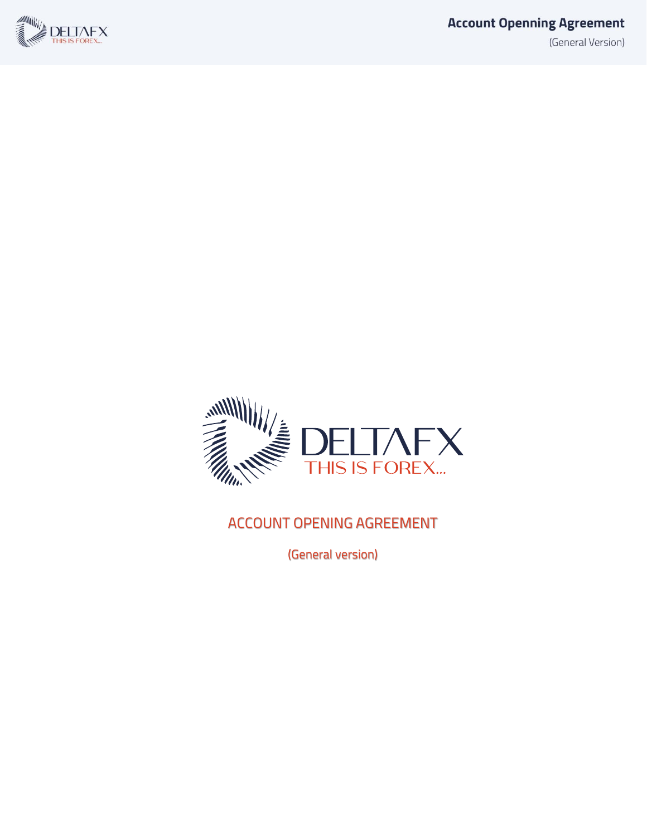



#### ACCOUNT OPENING AGREEMENT

(General version)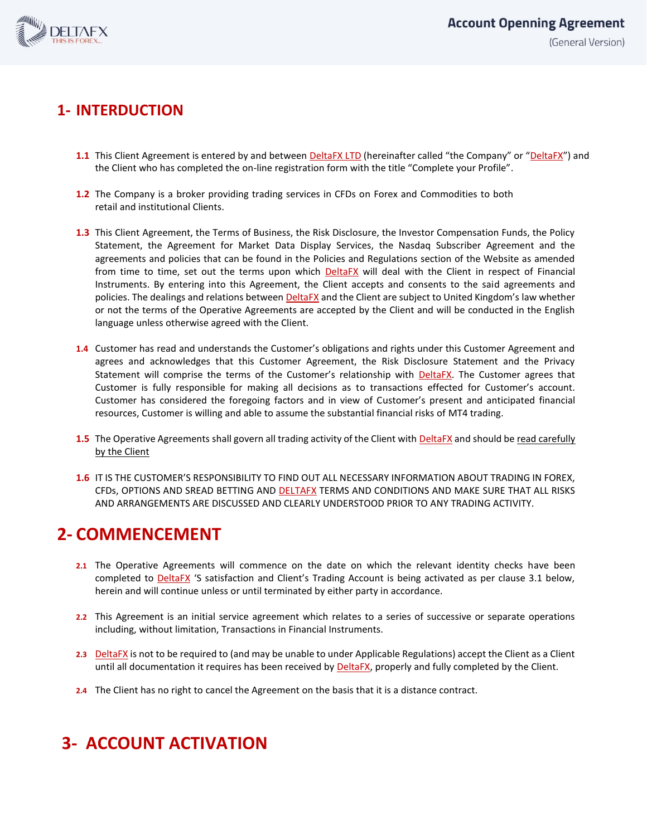

#### **1- INTERDUCTION**

- **1.1** This Client Agreement is entered by and between DeltaFX LTD (hereinafter called "the Company" or "DeltaFX") and the Client who has completed the on-line registration form with the title "Complete your Profile".
- **1.2** The Company is a broker providing trading services in CFDs on Forex and Commodities to both retail and institutional Clients.
- **1.3** This Client Agreement, the Terms of Business, the Risk Disclosure, the Investor Compensation Funds, the Policy Statement, the Agreement for Market Data Display Services, the Nasdaq Subscriber Agreement and the agreements and policies that can be found in the Policies and Regulations section of the Website as amended from time to time, set out the terms upon which **DeltaFX** will deal with the Client in respect of Financial Instruments. By entering into this Agreement, the Client accepts and consents to the said agreements and policies. The dealings and relations between DeltaFX and the Client are subject to United Kingdom's law whether or not the terms of the Operative Agreements are accepted by the Client and will be conducted in the English language unless otherwise agreed with the Client.
- **1.4** Customer has read and understands the Customer's obligations and rights under this Customer Agreement and agrees and acknowledges that this Customer Agreement, the Risk Disclosure Statement and the Privacy Statement will comprise the terms of the Customer's relationship with **DeltaFX**. The Customer agrees that Customer is fully responsible for making all decisions as to transactions effected for Customer's account. Customer has considered the foregoing factors and in view of Customer's present and anticipated financial resources, Customer is willing and able to assume the substantial financial risks of MT4 trading.
- **1.5** The Operative Agreements shall govern all trading activity of the Client with **DeltaFX** and should be read carefully by the Client
- **1.6** IT IS THE CUSTOMER'S RESPONSIBILITY TO FIND OUT ALL NECESSARY INFORMATION ABOUT TRADING IN FOREX, CFDs, OPTIONS AND SREAD BETTING AND DELTAFX TERMS AND CONDITIONS AND MAKE SURE THAT ALL RISKS AND ARRANGEMENTS ARE DISCUSSED AND CLEARLY UNDERSTOOD PRIOR TO ANY TRADING ACTIVITY.

### **2- COMMENCEMENT**

- **2.1** The Operative Agreements will commence on the date on which the relevant identity checks have been completed to DeltaFX 'S satisfaction and Client's Trading Account is being activated as per clause 3.1 below, herein and will continue unless or until terminated by either party in accordance.
- **2.2** This Agreement is an initial service agreement which relates to a series of successive or separate operations including, without limitation, Transactions in Financial Instruments.
- **2.3** DeltaFX is not to be required to (and may be unable to under Applicable Regulations) accept the Client as a Client until all documentation it requires has been received by **DeltaFX**, properly and fully completed by the Client.
- **2.4** The Client has no right to cancel the Agreement on the basis that it is a distance contract.

# **3- ACCOUNT ACTIVATION**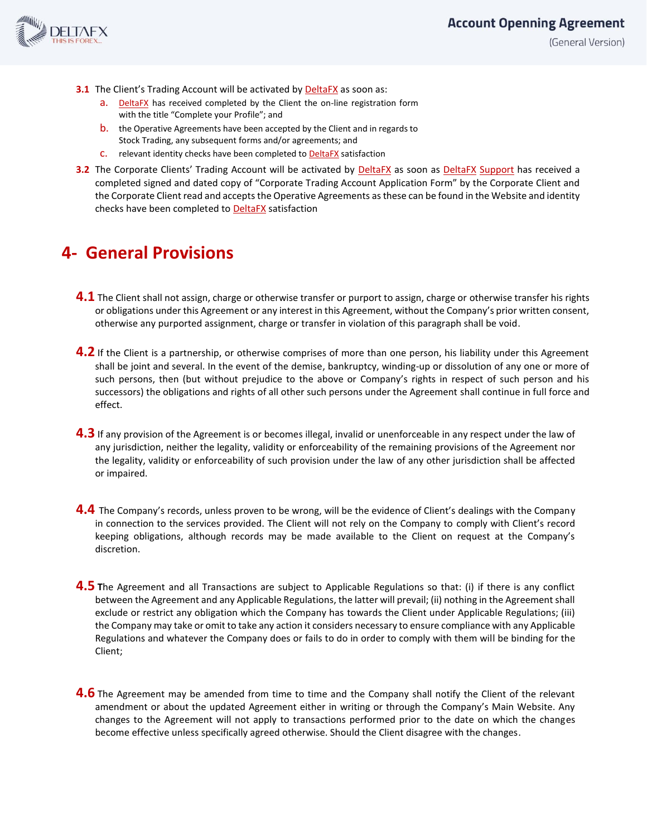

(General Version)

- **3.1** The Client's Trading Account will be activated by DeltaFX as soon as:
	- a. DeltaFX has received completed by the Client the on-line registration form with the title "Complete your Profile"; and
	- b. the Operative Agreements have been accepted by the Client and in regards to Stock Trading, any subsequent forms and/or agreements; and
	- c. relevant identity checks have been completed to DeltaFX satisfaction
- **3.2** The Corporate Clients' Trading Account will be activated by DeltaFX as soon as DeltaFX Support has received a completed signed and dated copy of "Corporate Trading Account Application Form" by the Corporate Client and the Corporate Client read and accepts the Operative Agreements as these can be found in the Website and identity checks have been completed to **DeltaFX** satisfaction

## **4- General Provisions**

- **4.1** The Client shall not assign, charge or otherwise transfer or purport to assign, charge or otherwise transfer his rights or obligations under this Agreement or any interest in this Agreement, without the Company's prior written consent, otherwise any purported assignment, charge or transfer in violation of this paragraph shall be void.
- **4.2** If the Client is a partnership, or otherwise comprises of more than one person, his liability under this Agreement shall be joint and several. In the event of the demise, bankruptcy, winding-up or dissolution of any one or more of such persons, then (but without prejudice to the above or Company's rights in respect of such person and his successors) the obligations and rights of all other such persons under the Agreement shall continue in full force and effect.
- **4.3** If any provision of the Agreement is or becomes illegal, invalid or unenforceable in any respect under the law of any jurisdiction, neither the legality, validity or enforceability of the remaining provisions of the Agreement nor the legality, validity or enforceability of such provision under the law of any other jurisdiction shall be affected or impaired.
- **4.4** The Company's records, unless proven to be wrong, will be the evidence of Client's dealings with the Company in connection to the services provided. The Client will not rely on the Company to comply with Client's record keeping obligations, although records may be made available to the Client on request at the Company's discretion.
- **4.5 T**he Agreement and all Transactions are subject to Applicable Regulations so that: (i) if there is any conflict between the Agreement and any Applicable Regulations, the latter will prevail; (ii) nothing in the Agreement shall exclude or restrict any obligation which the Company has towards the Client under Applicable Regulations; (iii) the Company may take or omit to take any action it considers necessary to ensure compliance with any Applicable Regulations and whatever the Company does or fails to do in order to comply with them will be binding for the Client;
- **4.6** The Agreement may be amended from time to time and the Company shall notify the Client of the relevant amendment or about the updated Agreement either in writing or through the Company's Main Website. Any changes to the Agreement will not apply to transactions performed prior to the date on which the changes become effective unless specifically agreed otherwise. Should the Client disagree with the changes.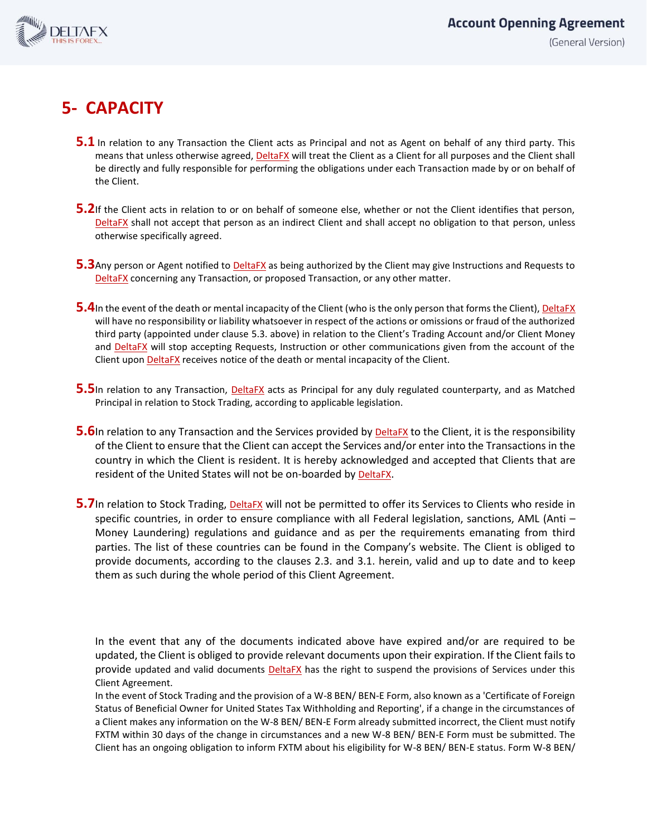

# **5- CAPACITY**

- **5.1** In relation to any Transaction the Client acts as Principal and not as Agent on behalf of any third party. This means that unless otherwise agreed, DeltaFX will treat the Client as a Client for all purposes and the Client shall be directly and fully responsible for performing the obligations under each Transaction made by or on behalf of the Client.
- **5.2**If the Client acts in relation to or on behalf of someone else, whether or not the Client identifies that person, DeltaFX shall not accept that person as an indirect Client and shall accept no obligation to that person, unless otherwise specifically agreed.
- **5.3**Any person or Agent notified to **DeltaFX** as being authorized by the Client may give Instructions and Requests to DeltaFX concerning any Transaction, or proposed Transaction, or any other matter.
- **5.4**In the event of the death or mental incapacity of the Client (who is the only person that forms the Client), DeltaFX will have no responsibility or liability whatsoever in respect of the actions or omissions or fraud of the authorized third party (appointed under clause 5.3. above) in relation to the Client's Trading Account and/or Client Money and DeltaFX will stop accepting Requests, Instruction or other communications given from the account of the Client upon DeltaFX receives notice of the death or mental incapacity of the Client.
- **5.5**In relation to any Transaction, DeltaFX acts as Principal for any duly regulated counterparty, and as Matched Principal in relation to Stock Trading, according to applicable legislation.
- **5.6**In relation to any Transaction and the Services provided by **DeltaFX** to the Client, it is the responsibility of the Client to ensure that the Client can accept the Services and/or enter into the Transactions in the country in which the Client is resident. It is hereby acknowledged and accepted that Clients that are resident of the United States will not be on-boarded by DeltaFX.
- **5.7**In relation to Stock Trading, **DeltaFX** will not be permitted to offer its Services to Clients who reside in specific countries, in order to ensure compliance with all Federal legislation, sanctions, AML (Anti – Money Laundering) regulations and guidance and as per the requirements emanating from third parties. The list of these countries can be found in the Company's website. The Client is obliged to provide documents, according to the clauses 2.3. and 3.1. herein, valid and up to date and to keep them as such during the whole period of this Client Agreement.

In the event that any of the documents indicated above have expired and/or are required to be updated, the Client is obliged to provide relevant documents upon their expiration. If the Client fails to provide updated and valid documents DeltaFX has the right to suspend the provisions of Services under this Client Agreement.

In the event of Stock Trading and the provision of a W-8 BEN/ BEN-E Form, also known as a 'Certificate of Foreign Status of Beneficial Owner for United States Tax Withholding and Reporting', if a change in the circumstances of a Client makes any information on the W-8 BEN/ BEN-E Form already submitted incorrect, the Client must notify FXTM within 30 days of the change in circumstances and a new W-8 BEN/ BEN-E Form must be submitted. The Client has an ongoing obligation to inform FXTM about his eligibility for W-8 BEN/ BEN-E status. Form W-8 BEN/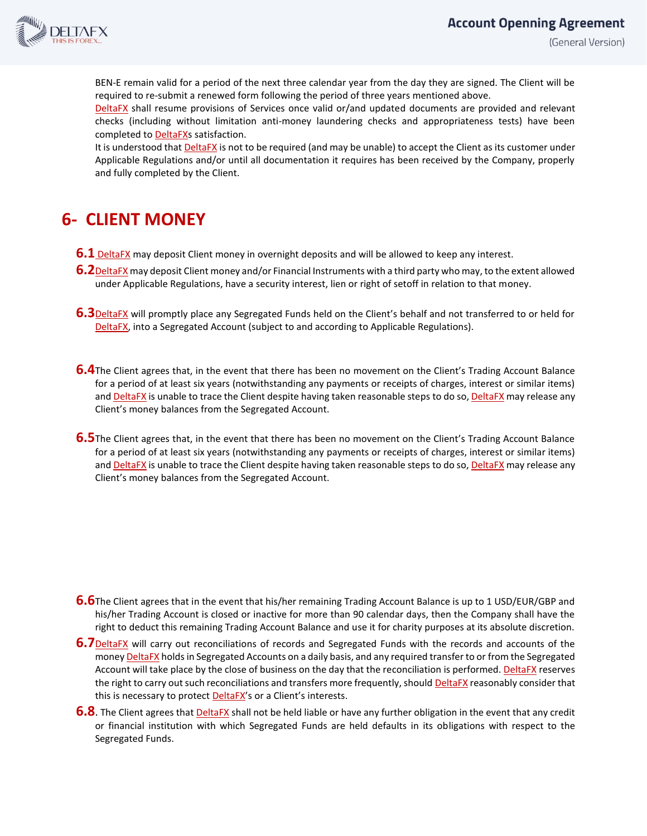

(General Version)

BEN-E remain valid for a period of the next three calendar year from the day they are signed. The Client will be required to re-submit a renewed form following the period of three years mentioned above.

DeltaFX shall resume provisions of Services once valid or/and updated documents are provided and relevant checks (including without limitation anti-money laundering checks and appropriateness tests) have been completed to **DeltaFXs** satisfaction.

It is understood that DeltaFX is not to be required (and may be unable) to accept the Client as its customer under Applicable Regulations and/or until all documentation it requires has been received by the Company, properly and fully completed by the Client.

# **6- CLIENT MONEY**

- **6.1** DeltaFX may deposit Client money in overnight deposits and will be allowed to keep any interest.
- **6.2**DeltaFX may deposit Client money and/or Financial Instruments with a third party who may, to the extent allowed under Applicable Regulations, have a security interest, lien or right of setoff in relation to that money.
- **6.3**DeltaFX will promptly place any Segregated Funds held on the Client's behalf and not transferred to or held for DeltaFX, into a Segregated Account (subject to and according to Applicable Regulations).
- **6.4**The Client agrees that, in the event that there has been no movement on the Client's Trading Account Balance for a period of at least six years (notwithstanding any payments or receipts of charges, interest or similar items) and DeltaFX is unable to trace the Client despite having taken reasonable steps to do so, DeltaFX may release any Client's money balances from the Segregated Account.
- **6.5**The Client agrees that, in the event that there has been no movement on the Client's Trading Account Balance for a period of at least six years (notwithstanding any payments or receipts of charges, interest or similar items) and DeltaFX is unable to trace the Client despite having taken reasonable steps to do so, DeltaFX may release any Client's money balances from the Segregated Account.

- **6.6**The Client agrees that in the event that his/her remaining Trading Account Balance is up to 1 USD/EUR/GBP and his/her Trading Account is closed or inactive for more than 90 calendar days, then the Company shall have the right to deduct this remaining Trading Account Balance and use it for charity purposes at its absolute discretion.
- **6.7**DeltaFX will carry out reconciliations of records and Segregated Funds with the records and accounts of the money DeltaFX holds in Segregated Accounts on a daily basis, and any required transfer to or from the Segregated Account will take place by the close of business on the day that the reconciliation is performed. DeltaFX reserves the right to carry out such reconciliations and transfers more frequently, should DeltaFX reasonably consider that this is necessary to protect **DeltaFX's** or a Client's interests.
- **6.8**. The Client agrees that **DeltaFX** shall not be held liable or have any further obligation in the event that any credit or financial institution with which Segregated Funds are held defaults in its obligations with respect to the Segregated Funds.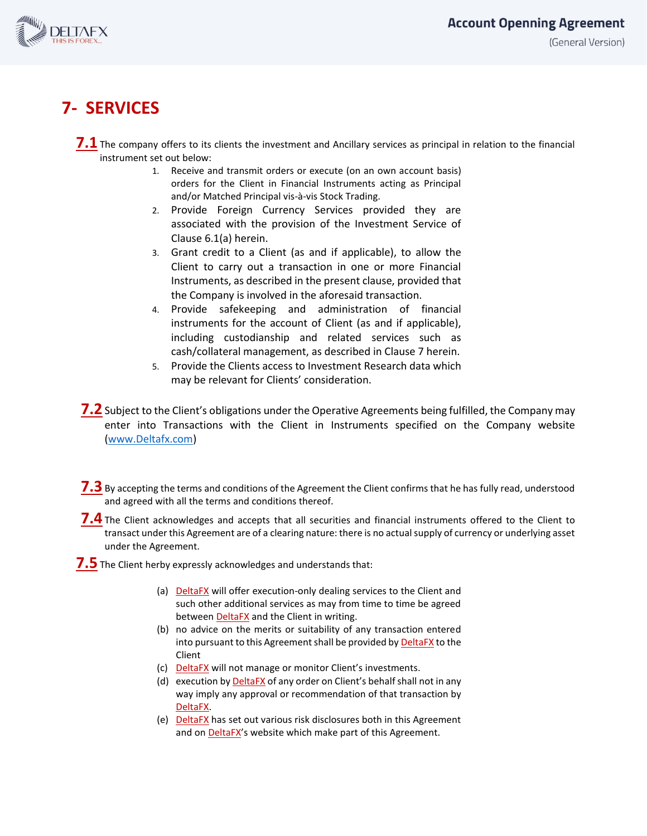

# **7- SERVICES**

7.1 The company offers to its clients the investment and Ancillary services as principal in relation to the financial instrument set out below:

- 1. Receive and transmit orders or execute (on an own account basis) orders for the Client in Financial Instruments acting as Principal and/or Matched Principal vis-à-vis Stock Trading.
- 2. Provide Foreign Currency Services provided they are associated with the provision of the Investment Service of Clause 6.1(a) herein.
- 3. Grant credit to a Client (as and if applicable), to allow the Client to carry out a transaction in one or more Financial Instruments, as described in the present clause, provided that the Company is involved in the aforesaid transaction.
- 4. Provide safekeeping and administration of financial instruments for the account of Client (as and if applicable), including custodianship and related services such as cash/collateral management, as described in Clause 7 herein.
- 5. Provide the Clients access to Investment Research data which may be relevant for Clients' consideration.
- **7.2** Subject to the Client's obligations under the Operative Agreements being fulfilled, the Company may enter into Transactions with the Client in Instruments specified on the Company website [\(www.Deltafx.com\)](http://www.deltafx.com/)
- 7.3 By accepting the terms and conditions of the Agreement the Client confirms that he has fully read, understood and agreed with all the terms and conditions thereof.
- **7.4** The Client acknowledges and accepts that all securities and financial instruments offered to the Client to transact under this Agreement are of a clearing nature: there is no actual supply of currency or underlying asset under the Agreement.

**7.5** The Client herby expressly acknowledges and understands that:

- (a) DeltaFX will offer execution-only dealing services to the Client and such other additional services as may from time to time be agreed between DeltaFX and the Client in writing.
- (b) no advice on the merits or suitability of any transaction entered into pursuant to this Agreement shall be provided by DeltaFX to the Client
- (c) DeltaFX will not manage or monitor Client's investments.
- (d) execution by DeltaFX of any order on Client's behalf shall not in any way imply any approval or recommendation of that transaction by DeltaFX.
- (e) DeltaFX has set out various risk disclosures both in this Agreement and on DeltaFX's website which make part of this Agreement.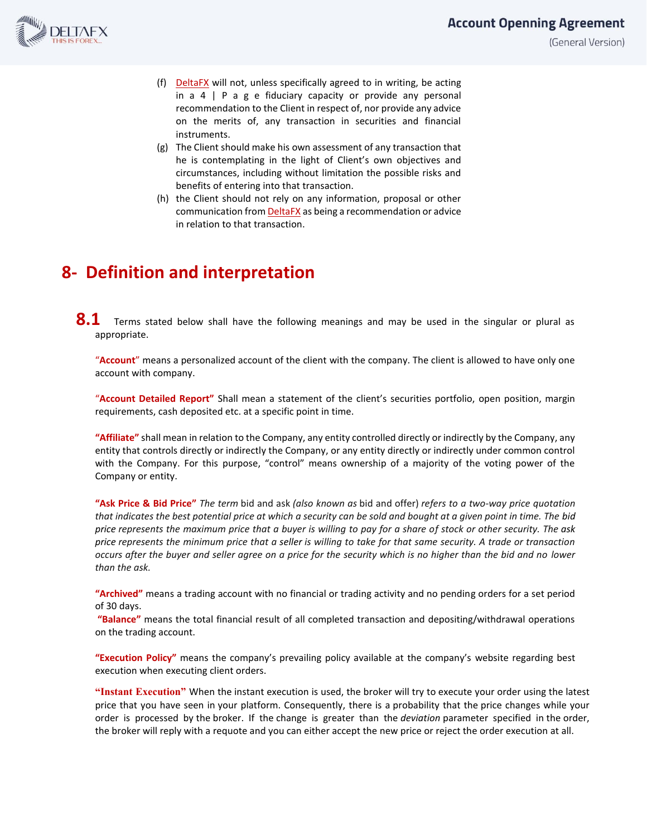

(General Version)

- (f) DeltaFX will not, unless specifically agreed to in writing, be acting in  $a \neq a$  | P a g e fiduciary capacity or provide any personal recommendation to the Client in respect of, nor provide any advice on the merits of, any transaction in securities and financial instruments.
- (g) The Client should make his own assessment of any transaction that he is contemplating in the light of Client's own objectives and circumstances, including without limitation the possible risks and benefits of entering into that transaction.
- (h) the Client should not rely on any information, proposal or other communication from DeltaFX as being a recommendation or advice in relation to that transaction.

# **8- Definition and interpretation**

**8.1** Terms stated below shall have the following meanings and may be used in the singular or plural as appropriate.

"**Account**" means a personalized account of the client with the company. The client is allowed to have only one account with company.

"**Account Detailed Report"** Shall mean a statement of the client's securities portfolio, open position, margin requirements, cash deposited etc. at a specific point in time.

**"Affiliate"** shall mean in relation to the Company, any entity controlled directly or indirectly by the Company, any entity that controls directly or indirectly the Company, or any entity directly or indirectly under common control with the Company. For this purpose, "control" means ownership of a majority of the voting power of the Company or entity.

**"Ask Price & Bid Price"** *The term* bid and ask *(also known as* bid and offer) *refers to a two-way price quotation that indicates the best potential price at which a security can be sold and bought at a given point in time. The bid price represents the maximum price that a buyer is willing to pay for a share of stock or other security. The ask price represents the minimum price that a seller is willing to take for that same security. A trade or transaction occurs after the buyer and seller agree on a price for the security which is no higher than the bid and no lower than the ask.*

**"Archived"** means a trading account with no financial or trading activity and no pending orders for a set period of 30 days.

**"Balance"** means the total financial result of all completed transaction and depositing/withdrawal operations on the trading account.

**"Execution Policy"** means the company's prevailing policy available at the company's website regarding best execution when executing client orders.

**"Instant Execution"** When the instant execution is used, the broker will try to execute your order using the latest price that you have seen in your platform. Consequently, there is a probability that the price changes while your order is processed by the broker. If the change is greater than the *deviation* parameter specified in the order, the broker will reply with a requote and you can either accept the new price or reject the order execution at all.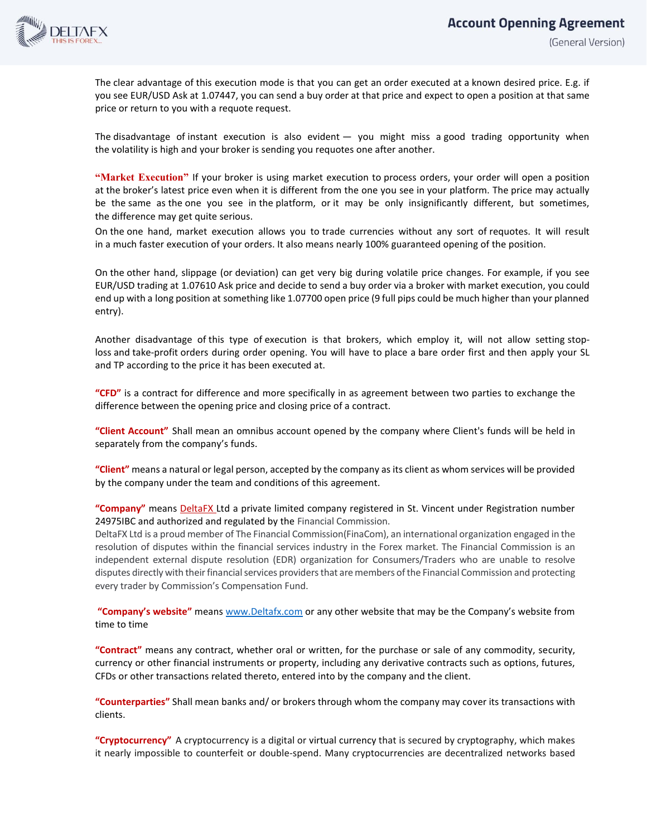

The clear advantage of this execution mode is that you can get an order executed at a known desired price. E.g. if you see EUR/USD Ask at 1.07447, you can send a buy order at that price and expect to open a position at that same price or return to you with a requote request.

The disadvantage of instant execution is also evident — you might miss a good trading opportunity when the volatility is high and your broker is sending you requotes one after another.

**"Market Execution"** If your broker is using market execution to process orders, your order will open a position at the broker's latest price even when it is different from the one you see in your platform. The price may actually be the same as the one you see in the platform, or it may be only insignificantly different, but sometimes, the difference may get quite serious.

On the one hand, market execution allows you to trade currencies without any sort of requotes. It will result in a much faster execution of your orders. It also means nearly 100% guaranteed opening of the position.

On the other hand, slippage (or deviation) can get very big during volatile price changes. For example, if you see EUR/USD trading at 1.07610 Ask price and decide to send a buy order via a broker with market execution, you could end up with a long position at something like 1.07700 open price (9 full pips could be much higher than your planned entry).

Another disadvantage of this type of execution is that brokers, which employ it, will not allow setting stoploss and take-profit orders during order opening. You will have to place a bare order first and then apply your SL and TP according to the price it has been executed at.

**"CFD"** is a contract for difference and more specifically in as agreement between two parties to exchange the difference between the opening price and closing price of a contract.

**"Client Account"** Shall mean an omnibus account opened by the company where Client's funds will be held in separately from the company's funds.

**"Client"** means a natural or legal person, accepted by the company as its client as whom services will be provided by the company under the team and conditions of this agreement.

#### **"Company"** means DeltaFX Ltd a private limited company registered in St. Vincent under Registration number 24975IBC and authorized and regulated by the Financial Commission.

DeltaFX Ltd is a proud member of The Financial Commission(FinaCom), an international organization engaged in the resolution of disputes within the financial services industry in the Forex market. The Financial Commission is an independent external dispute resolution (EDR) organization for Consumers/Traders who are unable to resolve disputes directly with their financial services providers that are members of the Financial Commission and protecting every trader by Commission's Compensation Fund.

**"Company's website"** mean[s www.Deltafx.com](http://www.deltafx.com/) or any other website that may be the Company's website from time to time

**"Contract"** means any contract, whether oral or written, for the purchase or sale of any commodity, security, currency or other financial instruments or property, including any derivative contracts such as options, futures, CFDs or other transactions related thereto, entered into by the company and the client.

**"Counterparties"** Shall mean banks and/ or brokers through whom the company may cover its transactions with clients.

**"Cryptocurrency"** A cryptocurrency is a digital or virtual currency that is secured by cryptography, which makes it nearly impossible to counterfeit or double-spend. Many cryptocurrencies are decentralized networks based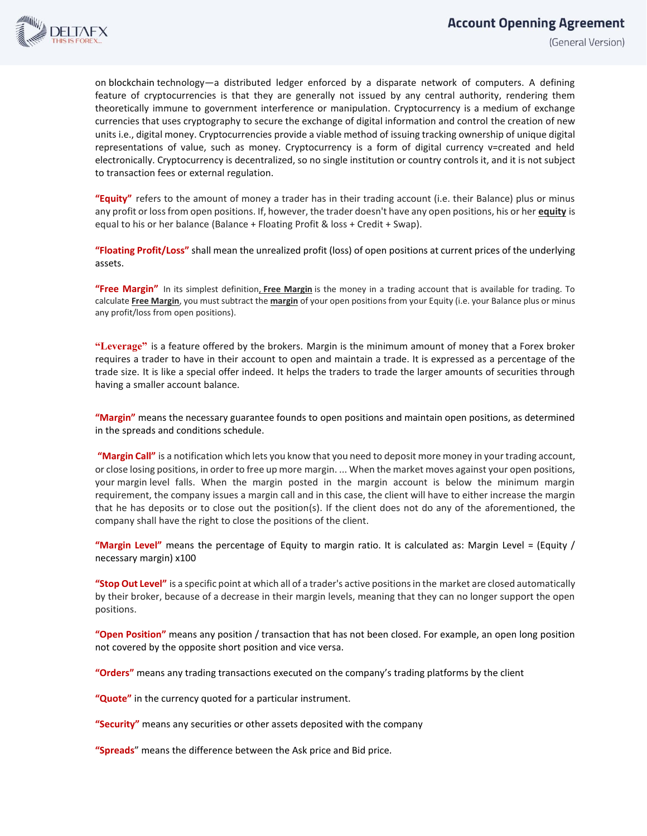

on blockchain technology—a distributed ledger enforced by a disparate network of computers. A defining feature of cryptocurrencies is that they are generally not issued by any central authority, rendering them theoretically immune to government interference or manipulation. Cryptocurrency is a medium of exchange currencies that uses cryptography to secure the exchange of digital information and control the creation of new units i.e., digital money. Cryptocurrencies provide a viable method of issuing tracking ownership of unique digital representations of value, such as money. Cryptocurrency is a form of digital currency v=created and held electronically. Cryptocurrency is decentralized, so no single institution or country controls it, and it is not subject to transaction fees or external regulation.

**"Equity"** refers to the amount of money a trader has in their trading account (i.e. their Balance) plus or minus any profit or loss from open positions. If, however, the trader doesn't have any open positions, his or her **equity** is equal to his or her balance (Balance + Floating Profit & loss + Credit + Swap).

**"Floating Profit/Loss"** shall mean the unrealized profit (loss) of open positions at current prices of the underlying assets.

**"Free Margin"** In its simplest definition, **Free Margin** is the money in a trading account that is available for trading. To calculate **Free Margin**, you must subtract the **margin** of your open positions from your Equity (i.e. your Balance plus or minus any profit/loss from open positions).

**"Leverage"** is a feature offered by the brokers. Margin is the minimum amount of money that a Forex broker requires a trader to have in their account to open and maintain a trade. It is expressed as a percentage of the trade size. It is like a special offer indeed. It helps the traders to trade the larger amounts of securities through having a smaller account balance.

**"Margin"** means the necessary guarantee founds to open positions and maintain open positions, as determined in the spreads and conditions schedule.

**"Margin Call"** is a notification which lets you know that you need to deposit more money in your trading account, or close losing positions, in order to free up more margin. ... When the market moves against your open positions, your margin level falls. When the margin posted in the margin account is below the minimum margin requirement, the company issues a margin call and in this case, the client will have to either increase the margin that he has deposits or to close out the position(s). If the client does not do any of the aforementioned, the company shall have the right to close the positions of the client.

**"Margin Level"** means the percentage of Equity to margin ratio. It is calculated as: Margin Level = (Equity / necessary margin) x100

**"Stop Out Level"** is a specific point at which all of a trader's active positions in the market are closed automatically by their broker, because of a decrease in their margin levels, meaning that they can no longer support the open positions.

**"Open Position"** means any position / transaction that has not been closed. For example, an open long position not covered by the opposite short position and vice versa.

**"Orders"** means any trading transactions executed on the company's trading platforms by the client

**"Quote"** in the currency quoted for a particular instrument.

**"Security"** means any securities or other assets deposited with the company

**"Spreads**" means the difference between the Ask price and Bid price.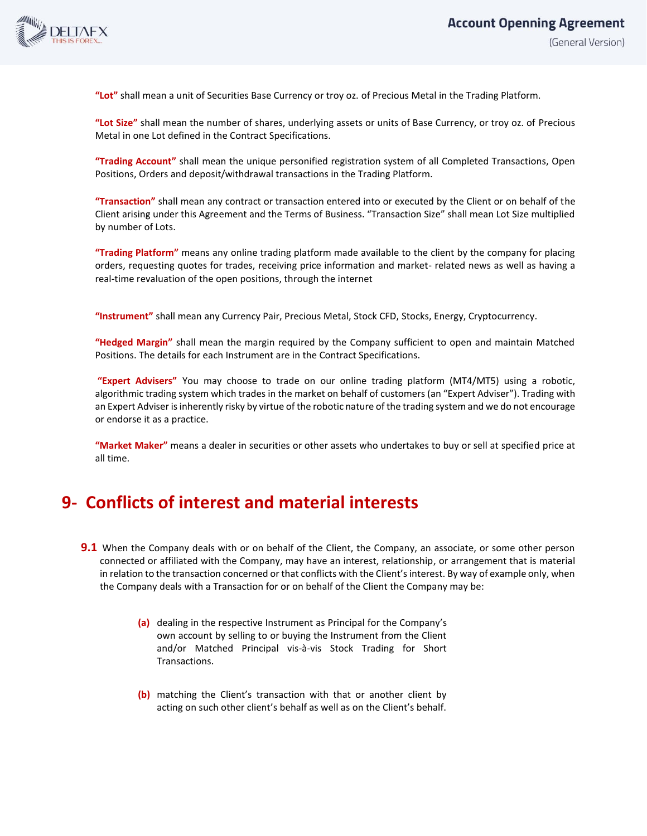

**"Lot"** shall mean a unit of Securities Base Currency or troy oz. of Precious Metal in the Trading Platform.

**"Lot Size"** shall mean the number of shares, underlying assets or units of Base Currency, or troy oz. of Precious Metal in one Lot defined in the Contract Specifications.

**"Trading Account"** shall mean the unique personified registration system of all Completed Transactions, Open Positions, Orders and deposit/withdrawal transactions in the Trading Platform.

**"Transaction"** shall mean any contract or transaction entered into or executed by the Client or on behalf of the Client arising under this Agreement and the Terms of Business. "Transaction Size" shall mean Lot Size multiplied by number of Lots.

**"Trading Platform"** means any online trading platform made available to the client by the company for placing orders, requesting quotes for trades, receiving price information and market- related news as well as having a real-time revaluation of the open positions, through the internet

**"Instrument"** shall mean any Currency Pair, Precious Metal, Stock CFD, Stocks, Energy, Cryptocurrency.

**"Hedged Margin"** shall mean the margin required by the Company sufficient to open and maintain Matched Positions. The details for each Instrument are in the Contract Specifications.

**"Expert Advisers"** You may choose to trade on our online trading platform (MT4/MT5) using a robotic, algorithmic trading system which trades in the market on behalf of customers (an "Expert Adviser"). Trading with an Expert Adviser is inherently risky by virtue of the robotic nature of the trading system and we do not encourage or endorse it as a practice.

**"Market Maker"** means a dealer in securities or other assets who undertakes to buy or sell at specified price at all time.

### **9- Conflicts of interest and material interests**

- **9.1** When the Company deals with or on behalf of the Client, the Company, an associate, or some other person connected or affiliated with the Company, may have an interest, relationship, or arrangement that is material in relation to the transaction concerned or that conflicts with the Client's interest. By way of example only, when the Company deals with a Transaction for or on behalf of the Client the Company may be:
	- **(a)** dealing in the respective Instrument as Principal for the Company's own account by selling to or buying the Instrument from the Client and/or Matched Principal vis-à-vis Stock Trading for Short Transactions.
	- **(b)** matching the Client's transaction with that or another client by acting on such other client's behalf as well as on the Client's behalf.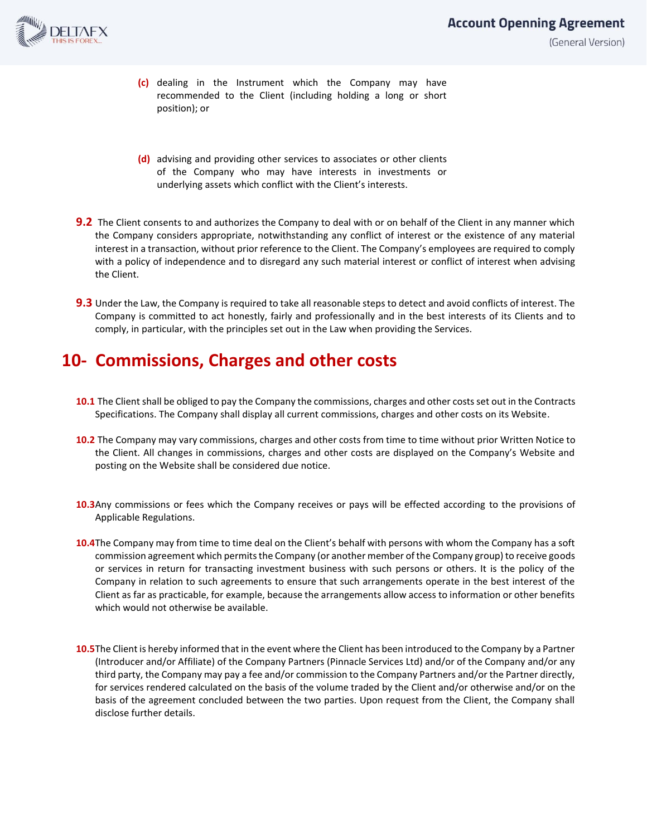

#### **Account Openning Agreement** (General Version)

- **(c)** dealing in the Instrument which the Company may have recommended to the Client (including holding a long or short position); or
- **(d)** advising and providing other services to associates or other clients of the Company who may have interests in investments or underlying assets which conflict with the Client's interests.
- **9.2** The Client consents to and authorizes the Company to deal with or on behalf of the Client in any manner which the Company considers appropriate, notwithstanding any conflict of interest or the existence of any material interest in a transaction, without prior reference to the Client. The Company's employees are required to comply with a policy of independence and to disregard any such material interest or conflict of interest when advising the Client.
- **9.3** Under the Law, the Company is required to take all reasonable steps to detect and avoid conflicts of interest. The Company is committed to act honestly, fairly and professionally and in the best interests of its Clients and to comply, in particular, with the principles set out in the Law when providing the Services.

## **10- Commissions, Charges and other costs**

- **10.1** The Client shall be obliged to pay the Company the commissions, charges and other costs set out in the Contracts Specifications. The Company shall display all current commissions, charges and other costs on its Website.
- **10.2** The Company may vary commissions, charges and other costs from time to time without prior Written Notice to the Client. All changes in commissions, charges and other costs are displayed on the Company's Website and posting on the Website shall be considered due notice.
- **10.3**Any commissions or fees which the Company receives or pays will be effected according to the provisions of Applicable Regulations.
- **10.4**The Company may from time to time deal on the Client's behalf with persons with whom the Company has a soft commission agreement which permits the Company (or another member of the Company group) to receive goods or services in return for transacting investment business with such persons or others. It is the policy of the Company in relation to such agreements to ensure that such arrangements operate in the best interest of the Client as far as practicable, for example, because the arrangements allow access to information or other benefits which would not otherwise be available.
- **10.5**The Client is hereby informed that in the event where the Client has been introduced to the Company by a Partner (Introducer and/or Affiliate) of the Company Partners (Pinnacle Services Ltd) and/or of the Company and/or any third party, the Company may pay a fee and/or commission to the Company Partners and/or the Partner directly, for services rendered calculated on the basis of the volume traded by the Client and/or otherwise and/or on the basis of the agreement concluded between the two parties. Upon request from the Client, the Company shall disclose further details.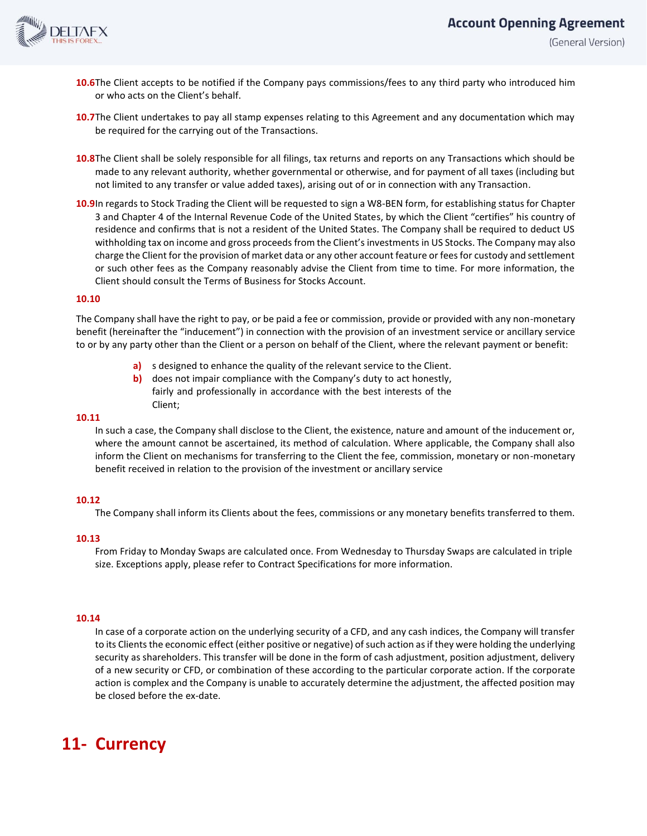

- **10.6**The Client accepts to be notified if the Company pays commissions/fees to any third party who introduced him or who acts on the Client's behalf.
- **10.7**The Client undertakes to pay all stamp expenses relating to this Agreement and any documentation which may be required for the carrying out of the Transactions.
- **10.8**The Client shall be solely responsible for all filings, tax returns and reports on any Transactions which should be made to any relevant authority, whether governmental or otherwise, and for payment of all taxes (including but not limited to any transfer or value added taxes), arising out of or in connection with any Transaction.
- **10.9**In regards to Stock Trading the Client will be requested to sign a W8-BEN form, for establishing status for Chapter 3 and Chapter 4 of the Internal Revenue Code of the United States, by which the Client "certifies" his country of residence and confirms that is not a resident of the United States. The Company shall be required to deduct US withholding tax on income and gross proceeds from the Client's investments in US Stocks. The Company may also charge the Client for the provision of market data or any other account feature or fees for custody and settlement or such other fees as the Company reasonably advise the Client from time to time. For more information, the Client should consult the Terms of Business for Stocks Account.

#### **10.10**

The Company shall have the right to pay, or be paid a fee or commission, provide or provided with any non-monetary benefit (hereinafter the "inducement") in connection with the provision of an investment service or ancillary service to or by any party other than the Client or a person on behalf of the Client, where the relevant payment or benefit:

- **a)** s designed to enhance the quality of the relevant service to the Client.
- **b)** does not impair compliance with the Company's duty to act honestly, fairly and professionally in accordance with the best interests of the Client;

#### **10.11**

In such a case, the Company shall disclose to the Client, the existence, nature and amount of the inducement or, where the amount cannot be ascertained, its method of calculation. Where applicable, the Company shall also inform the Client on mechanisms for transferring to the Client the fee, commission, monetary or non-monetary benefit received in relation to the provision of the investment or ancillary service

#### **10.12**

The Company shall inform its Clients about the fees, commissions or any monetary benefits transferred to them.

#### **10.13**

From Friday to Monday Swaps are calculated once. From Wednesday to Thursday Swaps are calculated in triple size. Exceptions apply, please refer to Contract Specifications for more information.

#### **10.14**

In case of a corporate action on the underlying security of a CFD, and any cash indices, the Company will transfer to its Clients the economic effect (either positive or negative) of such action as if they were holding the underlying security as shareholders. This transfer will be done in the form of cash adjustment, position adjustment, delivery of a new security or CFD, or combination of these according to the particular corporate action. If the corporate action is complex and the Company is unable to accurately determine the adjustment, the affected position may be closed before the ex-date.

## **11- Currency**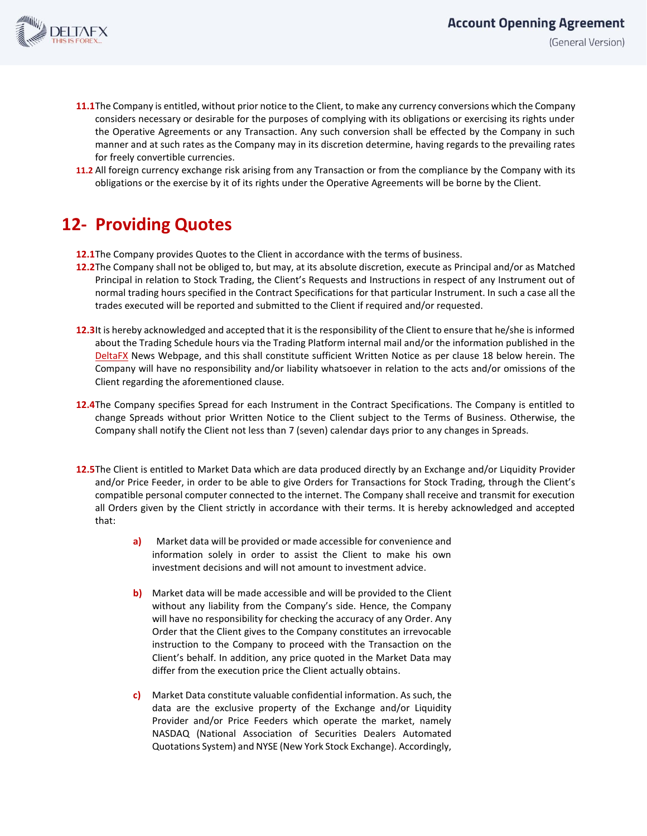

- **11.1**The Company is entitled, without prior notice to the Client, to make any currency conversions which the Company considers necessary or desirable for the purposes of complying with its obligations or exercising its rights under the Operative Agreements or any Transaction. Any such conversion shall be effected by the Company in such manner and at such rates as the Company may in its discretion determine, having regards to the prevailing rates for freely convertible currencies.
- **11.2** All foreign currency exchange risk arising from any Transaction or from the compliance by the Company with its obligations or the exercise by it of its rights under the Operative Agreements will be borne by the Client.

## **12- Providing Quotes**

- **12.1**The Company provides Quotes to the Client in accordance with the terms of business.
- **12.2**The Company shall not be obliged to, but may, at its absolute discretion, execute as Principal and/or as Matched Principal in relation to Stock Trading, the Client's Requests and Instructions in respect of any Instrument out of normal trading hours specified in the Contract Specifications for that particular Instrument. In such a case all the trades executed will be reported and submitted to the Client if required and/or requested.
- **12.3**It is hereby acknowledged and accepted that it is the responsibility of the Client to ensure that he/she is informed about the Trading Schedule hours via the Trading Platform internal mail and/or the information published in the DeltaFX News Webpage, and this shall constitute sufficient Written Notice as per clause 18 below herein. The Company will have no responsibility and/or liability whatsoever in relation to the acts and/or omissions of the Client regarding the aforementioned clause.
- **12.4**The Company specifies Spread for each Instrument in the Contract Specifications. The Company is entitled to change Spreads without prior Written Notice to the Client subject to the Terms of Business. Otherwise, the Company shall notify the Client not less than 7 (seven) calendar days prior to any changes in Spreads.
- **12.5**The Client is entitled to Market Data which are data produced directly by an Exchange and/or Liquidity Provider and/or Price Feeder, in order to be able to give Orders for Transactions for Stock Trading, through the Client's compatible personal computer connected to the internet. The Company shall receive and transmit for execution all Orders given by the Client strictly in accordance with their terms. It is hereby acknowledged and accepted that:
	- **a)** Market data will be provided or made accessible for convenience and information solely in order to assist the Client to make his own investment decisions and will not amount to investment advice.
	- **b)** Market data will be made accessible and will be provided to the Client without any liability from the Company's side. Hence, the Company will have no responsibility for checking the accuracy of any Order. Any Order that the Client gives to the Company constitutes an irrevocable instruction to the Company to proceed with the Transaction on the Client's behalf. In addition, any price quoted in the Market Data may differ from the execution price the Client actually obtains.
	- **c)** Market Data constitute valuable confidential information. As such, the data are the exclusive property of the Exchange and/or Liquidity Provider and/or Price Feeders which operate the market, namely NASDAQ (National Association of Securities Dealers Automated Quotations System) and NYSE (New York Stock Exchange). Accordingly,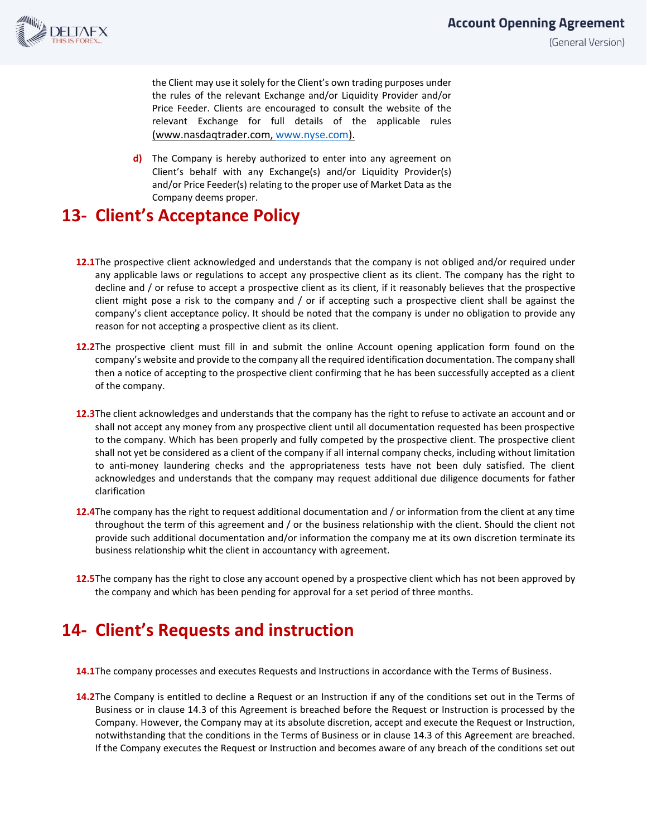

the Client may use it solely for the Client's own trading purposes under the rules of the relevant Exchange and/or Liquidity Provider and/or Price Feeder. Clients are encouraged to consult the website of the relevant Exchange for full details of the applicable rules (www.nasdaqtrader.com, [www.nyse.com\)](http://www.nyse.com/).

**d)** The Company is hereby authorized to enter into any agreement on Client's behalf with any Exchange(s) and/or Liquidity Provider(s) and/or Price Feeder(s) relating to the proper use of Market Data as the Company deems proper.

## **13- Client's Acceptance Policy**

- **12.1**The prospective client acknowledged and understands that the company is not obliged and/or required under any applicable laws or regulations to accept any prospective client as its client. The company has the right to decline and / or refuse to accept a prospective client as its client, if it reasonably believes that the prospective client might pose a risk to the company and / or if accepting such a prospective client shall be against the company's client acceptance policy. It should be noted that the company is under no obligation to provide any reason for not accepting a prospective client as its client.
- **12.2**The prospective client must fill in and submit the online Account opening application form found on the company's website and provide to the company all the required identification documentation. The company shall then a notice of accepting to the prospective client confirming that he has been successfully accepted as a client of the company.
- **12.3**The client acknowledges and understands that the company has the right to refuse to activate an account and or shall not accept any money from any prospective client until all documentation requested has been prospective to the company. Which has been properly and fully competed by the prospective client. The prospective client shall not yet be considered as a client of the company if all internal company checks, including without limitation to anti-money laundering checks and the appropriateness tests have not been duly satisfied. The client acknowledges and understands that the company may request additional due diligence documents for father clarification
- **12.4**The company has the right to request additional documentation and / or information from the client at any time throughout the term of this agreement and / or the business relationship with the client. Should the client not provide such additional documentation and/or information the company me at its own discretion terminate its business relationship whit the client in accountancy with agreement.
- **12.5**The company has the right to close any account opened by a prospective client which has not been approved by the company and which has been pending for approval for a set period of three months.

# **14- Client's Requests and instruction**

- **14.1**The company processes and executes Requests and Instructions in accordance with the Terms of Business.
- **14.2**The Company is entitled to decline a Request or an Instruction if any of the conditions set out in the Terms of Business or in clause 14.3 of this Agreement is breached before the Request or Instruction is processed by the Company. However, the Company may at its absolute discretion, accept and execute the Request or Instruction, notwithstanding that the conditions in the Terms of Business or in clause 14.3 of this Agreement are breached. If the Company executes the Request or Instruction and becomes aware of any breach of the conditions set out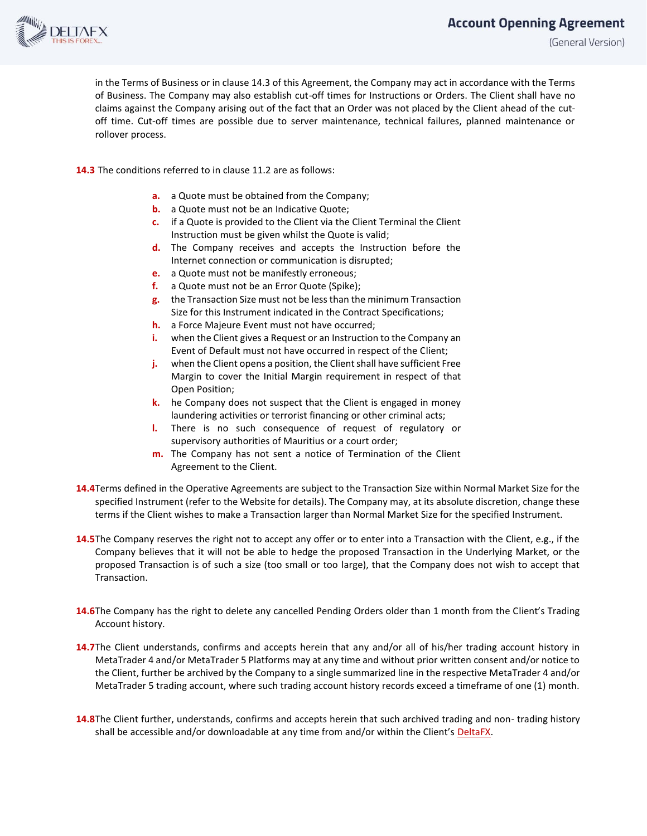## **Account Openning Agreement**



(General Version)

in the Terms of Business or in clause 14.3 of this Agreement, the Company may act in accordance with the Terms of Business. The Company may also establish cut-off times for Instructions or Orders. The Client shall have no claims against the Company arising out of the fact that an Order was not placed by the Client ahead of the cutoff time. Cut-off times are possible due to server maintenance, technical failures, planned maintenance or rollover process.

**14.3** The conditions referred to in clause 11.2 are as follows:

- **a.** a Quote must be obtained from the Company;
- **b.** a Quote must not be an Indicative Quote;
- **c.** if a Quote is provided to the Client via the Client Terminal the Client Instruction must be given whilst the Quote is valid;
- **d.** The Company receives and accepts the Instruction before the Internet connection or communication is disrupted;
- **e.** a Quote must not be manifestly erroneous;
- **f.** a Quote must not be an Error Quote (Spike);
- **g.** the Transaction Size must not be less than the minimum Transaction Size for this Instrument indicated in the Contract Specifications;
- **h.** a Force Majeure Event must not have occurred;
- **i.** when the Client gives a Request or an Instruction to the Company an Event of Default must not have occurred in respect of the Client;
- **j.** when the Client opens a position, the Client shall have sufficient Free Margin to cover the Initial Margin requirement in respect of that Open Position;
- **k.** he Company does not suspect that the Client is engaged in money laundering activities or terrorist financing or other criminal acts;
- **l.** There is no such consequence of request of regulatory or supervisory authorities of Mauritius or a court order;
- **m.** The Company has not sent a notice of Termination of the Client Agreement to the Client.
- **14.4**Terms defined in the Operative Agreements are subject to the Transaction Size within Normal Market Size for the specified Instrument (refer to the Website for details). The Company may, at its absolute discretion, change these terms if the Client wishes to make a Transaction larger than Normal Market Size for the specified Instrument.
- **14.5**The Company reserves the right not to accept any offer or to enter into a Transaction with the Client, e.g., if the Company believes that it will not be able to hedge the proposed Transaction in the Underlying Market, or the proposed Transaction is of such a size (too small or too large), that the Company does not wish to accept that Transaction.
- **14.6**The Company has the right to delete any cancelled Pending Orders older than 1 month from the Client's Trading Account history.
- **14.7**The Client understands, confirms and accepts herein that any and/or all of his/her trading account history in MetaTrader 4 and/or MetaTrader 5 Platforms may at any time and without prior written consent and/or notice to the Client, further be archived by the Company to a single summarized line in the respective MetaTrader 4 and/or MetaTrader 5 trading account, where such trading account history records exceed a timeframe of one (1) month.
- **14.8**The Client further, understands, confirms and accepts herein that such archived trading and non- trading history shall be accessible and/or downloadable at any time from and/or within the Client's DeltaFX.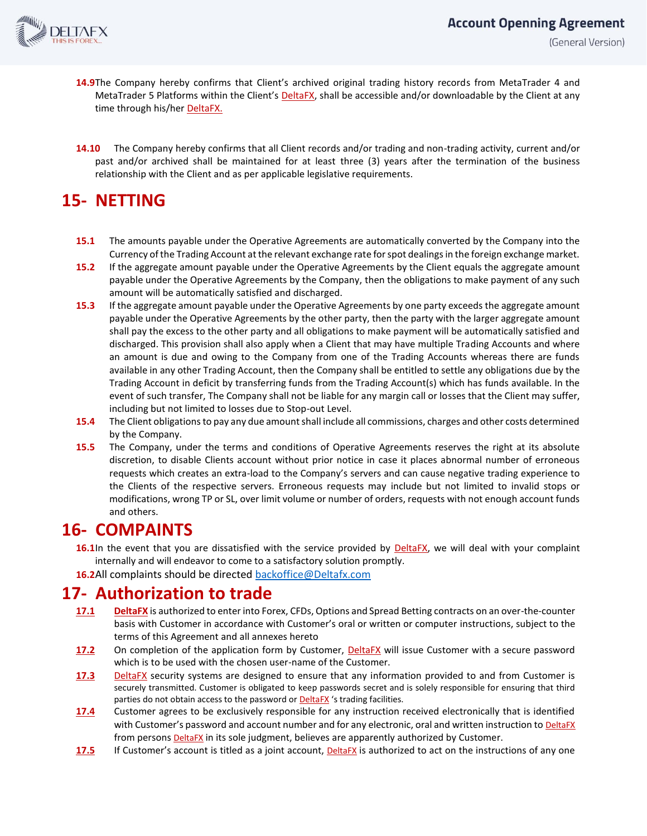

- **14.9**The Company hereby confirms that Client's archived original trading history records from MetaTrader 4 and MetaTrader 5 Platforms within the Client's DeltaFX, shall be accessible and/or downloadable by the Client at any time through his/her DeltaFX.
- **14.10** The Company hereby confirms that all Client records and/or trading and non-trading activity, current and/or past and/or archived shall be maintained for at least three (3) years after the termination of the business relationship with the Client and as per applicable legislative requirements.

# **15- NETTING**

- **15.1** The amounts payable under the Operative Agreements are automatically converted by the Company into the Currency of the Trading Account at the relevant exchange rate for spot dealings in the foreign exchange market.
- **15.2** If the aggregate amount payable under the Operative Agreements by the Client equals the aggregate amount payable under the Operative Agreements by the Company, then the obligations to make payment of any such amount will be automatically satisfied and discharged.
- **15.3** If the aggregate amount payable under the Operative Agreements by one party exceeds the aggregate amount payable under the Operative Agreements by the other party, then the party with the larger aggregate amount shall pay the excess to the other party and all obligations to make payment will be automatically satisfied and discharged. This provision shall also apply when a Client that may have multiple Trading Accounts and where an amount is due and owing to the Company from one of the Trading Accounts whereas there are funds available in any other Trading Account, then the Company shall be entitled to settle any obligations due by the Trading Account in deficit by transferring funds from the Trading Account(s) which has funds available. In the event of such transfer, The Company shall not be liable for any margin call or losses that the Client may suffer, including but not limited to losses due to Stop-out Level.
- **15.4** The Client obligations to pay any due amount shall include all commissions, charges and other costs determined by the Company.
- **15.5** The Company, under the terms and conditions of Operative Agreements reserves the right at its absolute discretion, to disable Clients account without prior notice in case it places abnormal number of erroneous requests which creates an extra-load to the Company's servers and can cause negative trading experience to the Clients of the respective servers. Erroneous requests may include but not limited to invalid stops or modifications, wrong TP or SL, over limit volume or number of orders, requests with not enough account funds and others.

### **16- COMPAINTS**

- **16.1**In the event that you are dissatisfied with the service provided by DeltaFX, we will deal with your complaint internally and will endeavor to come to a satisfactory solution promptly.
- **16.2**All complaints should be directe[d backoffice@Deltafx.com](mailto:backoffice@Deltafx.com)

#### **17- Authorization to trade**

- **17.1 DeltaFX** is authorized to enter into Forex, CFDs, Options and Spread Betting contracts on an over-the-counter basis with Customer in accordance with Customer's oral or written or computer instructions, subject to the terms of this Agreement and all annexes hereto
- **17.2** On completion of the application form by Customer, DeltaFX will issue Customer with a secure password which is to be used with the chosen user-name of the Customer.
- **17.3** DeltaFX security systems are designed to ensure that any information provided to and from Customer is securely transmitted. Customer is obligated to keep passwords secret and is solely responsible for ensuring that third parties do not obtain access to the password or **DeltaFX** 's trading facilities.
- **17.4** Customer agrees to be exclusively responsible for any instruction received electronically that is identified with Customer's password and account number and for any electronic, oral and written instruction to **DeltaFX** from persons **DeltaFX** in its sole judgment, believes are apparently authorized by Customer.
- **17.5** If Customer's account is titled as a joint account, **DeltaFX** is authorized to act on the instructions of any one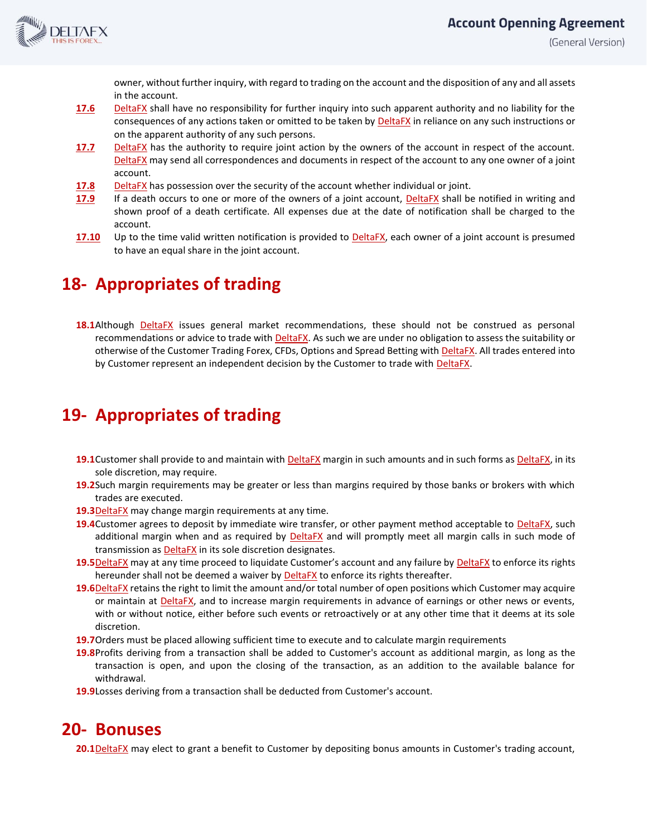

(General Version)

owner, without further inquiry, with regard to trading on the account and the disposition of any and all assets in the account.

- **17.6** DeltaFX shall have no responsibility for further inquiry into such apparent authority and no liability for the consequences of any actions taken or omitted to be taken by **DeltaFX** in reliance on any such instructions or on the apparent authority of any such persons.
- **17.7** DeltaFX has the authority to require joint action by the owners of the account in respect of the account. DeltaFX may send all correspondences and documents in respect of the account to any one owner of a joint account.
- **17.8** DeltaFX has possession over the security of the account whether individual or joint.
- **17.9** If a death occurs to one or more of the owners of a joint account, DeltaFX shall be notified in writing and shown proof of a death certificate. All expenses due at the date of notification shall be charged to the account.
- **17.10** Up to the time valid written notification is provided to **DeltaFX**, each owner of a joint account is presumed to have an equal share in the joint account.

#### **18- Appropriates of trading**

18.1Although DeltaFX issues general market recommendations, these should not be construed as personal recommendations or advice to trade with DeltaFX. As such we are under no obligation to assess the suitability or otherwise of the Customer Trading Forex, CFDs, Options and Spread Betting with DeltaFX. All trades entered into by Customer represent an independent decision by the Customer to trade with DeltaFX.

## **19- Appropriates of trading**

- **19.1**Customer shall provide to and maintain with DeltaFX margin in such amounts and in such forms as DeltaFX, in its sole discretion, may require.
- **19.2**Such margin requirements may be greater or less than margins required by those banks or brokers with which trades are executed.
- **19.3**DeltaFX may change margin requirements at any time.
- **19.4**Customer agrees to deposit by immediate wire transfer, or other payment method acceptable to DeltaFX, such additional margin when and as required by **DeltaFX** and will promptly meet all margin calls in such mode of transmission as DeltaFX in its sole discretion designates.
- 19.5DeltaFX may at any time proceed to liquidate Customer's account and any failure by DeltaFX to enforce its rights hereunder shall not be deemed a waiver by **DeltaFX** to enforce its rights thereafter.
- **19.6**DeltaFX retains the right to limit the amount and/or total number of open positions which Customer may acquire or maintain at DeltaFX, and to increase margin requirements in advance of earnings or other news or events, with or without notice, either before such events or retroactively or at any other time that it deems at its sole discretion.
- **19.7**Orders must be placed allowing sufficient time to execute and to calculate margin requirements
- **19.8**Profits deriving from a transaction shall be added to Customer's account as additional margin, as long as the transaction is open, and upon the closing of the transaction, as an addition to the available balance for withdrawal.
- **19.9**Losses deriving from a transaction shall be deducted from Customer's account.

#### **20- Bonuses**

**20.1**DeltaFX may elect to grant a benefit to Customer by depositing bonus amounts in Customer's trading account,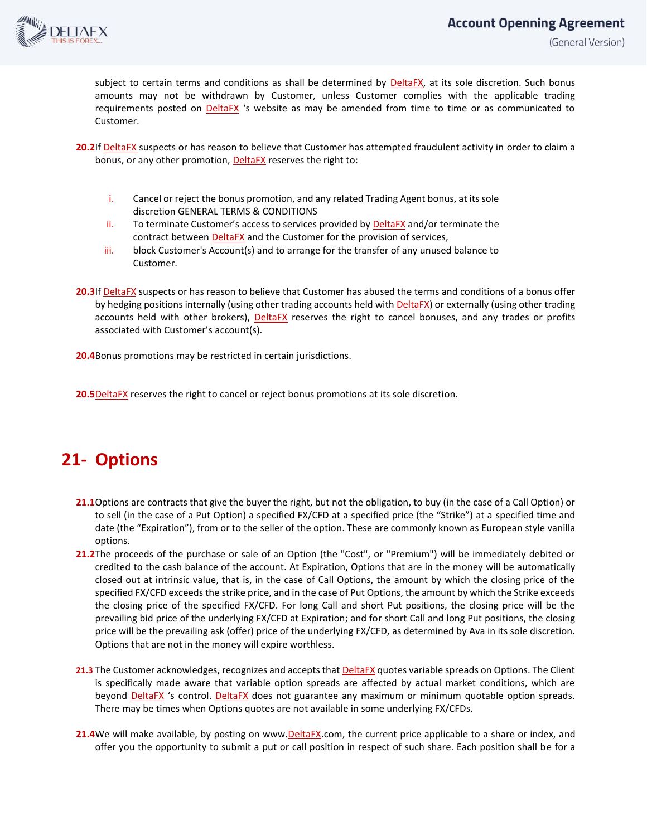

(General Version)

subject to certain terms and conditions as shall be determined by DeltaFX, at its sole discretion. Such bonus amounts may not be withdrawn by Customer, unless Customer complies with the applicable trading requirements posted on **DeltaFX** 's website as may be amended from time to time or as communicated to Customer.

- **20.2**If DeltaFX suspects or has reason to believe that Customer has attempted fraudulent activity in order to claim a bonus, or any other promotion, DeltaFX reserves the right to:
	- i. Cancel or reject the bonus promotion, and any related Trading Agent bonus, at its sole discretion GENERAL TERMS & CONDITIONS
	- ii. To terminate Customer's access to services provided by DeltaFX and/or terminate the contract between DeltaFX and the Customer for the provision of services,
	- iii. block Customer's Account(s) and to arrange for the transfer of any unused balance to Customer.
- **20.3**If DeltaFX suspects or has reason to believe that Customer has abused the terms and conditions of a bonus offer by hedging positions internally (using other trading accounts held with **DeltaFX**) or externally (using other trading accounts held with other brokers), **DeltaFX** reserves the right to cancel bonuses, and any trades or profits associated with Customer's account(s).

**20.4**Bonus promotions may be restricted in certain jurisdictions.

**20.5**DeltaFX reserves the right to cancel or reject bonus promotions at its sole discretion.

# **21- Options**

- **21.1**Options are contracts that give the buyer the right, but not the obligation, to buy (in the case of a Call Option) or to sell (in the case of a Put Option) a specified FX/CFD at a specified price (the "Strike") at a specified time and date (the "Expiration"), from or to the seller of the option. These are commonly known as European style vanilla options.
- **21.2**The proceeds of the purchase or sale of an Option (the "Cost", or "Premium") will be immediately debited or credited to the cash balance of the account. At Expiration, Options that are in the money will be automatically closed out at intrinsic value, that is, in the case of Call Options, the amount by which the closing price of the specified FX/CFD exceeds the strike price, and in the case of Put Options, the amount by which the Strike exceeds the closing price of the specified FX/CFD. For long Call and short Put positions, the closing price will be the prevailing bid price of the underlying FX/CFD at Expiration; and for short Call and long Put positions, the closing price will be the prevailing ask (offer) price of the underlying FX/CFD, as determined by Ava in its sole discretion. Options that are not in the money will expire worthless.
- **21.3** The Customer acknowledges, recognizes and accepts that **DeltaFX** quotes variable spreads on Options. The Client is specifically made aware that variable option spreads are affected by actual market conditions, which are beyond DeltaFX 's control. DeltaFX does not guarantee any maximum or minimum quotable option spreads. There may be times when Options quotes are not available in some underlying FX/CFDs.
- **21.4**We will make available, by posting on www.DeltaFX.com, the current price applicable to a share or index, and offer you the opportunity to submit a put or call position in respect of such share. Each position shall be for a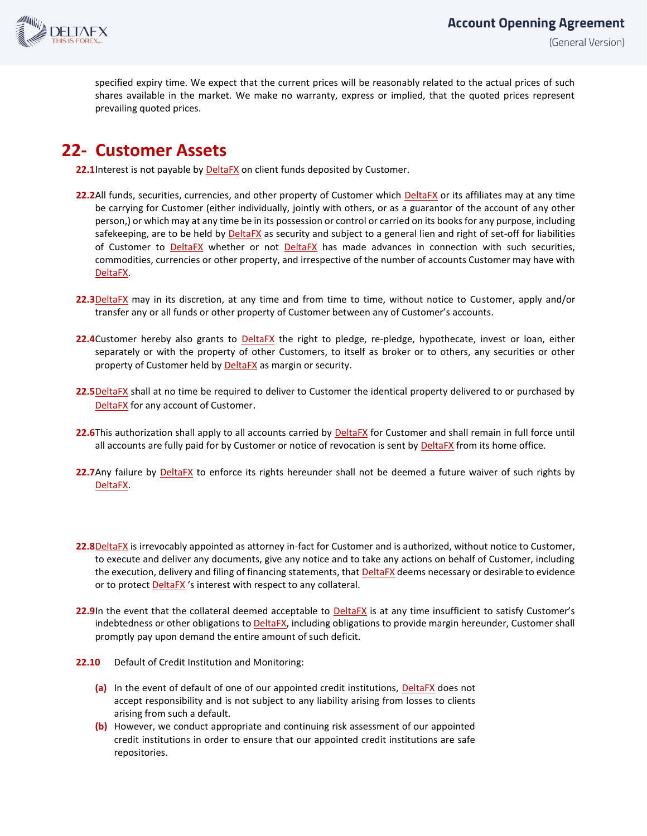

specified expiry time. We expect that the current prices will be reasonably related to the actual prices of such shares available in the market. We make no warranty, express or implied, that the quoted prices represent prevailing quoted prices.

#### **22- Customer Assets**

**22.1**Interest is not payable by DeltaFX on client funds deposited by Customer.

- **22.2**All funds, securities, currencies, and other property of Customer which DeltaFX or its affiliates may at any time be carrying for Customer (either individually, jointly with others, or as a guarantor of the account of any other person,) or which may at any time be in its possession or control or carried on its books for any purpose, including safekeeping, are to be held by DeltaFX as security and subject to a general lien and right of set-off for liabilities of Customer to **DeltaFX** whether or not **DeltaFX** has made advances in connection with such securities, commodities, currencies or other property, and irrespective of the number of accounts Customer may have with DeltaFX.
- **22.3**DeltaFX may in its discretion, at any time and from time to time, without notice to Customer, apply and/or transfer any or all funds or other property of Customer between any of Customer's accounts.
- **22.4**Customer hereby also grants to DeltaFX the right to pledge, re-pledge, hypothecate, invest or loan, either separately or with the property of other Customers, to itself as broker or to others, any securities or other property of Customer held by **DeltaFX** as margin or security.
- **22.5**DeltaFX shall at no time be required to deliver to Customer the identical property delivered to or purchased by DeltaFX for any account of Customer.
- **22.6**This authorization shall apply to all accounts carried by DeltaFX for Customer and shall remain in full force until all accounts are fully paid for by Customer or notice of revocation is sent by DeltaFX from its home office.
- **22.7**Any failure by DeltaFX to enforce its rights hereunder shall not be deemed a future waiver of such rights by DeltaFX.
- **22.8**DeltaFX is irrevocably appointed as attorney in-fact for Customer and is authorized, without notice to Customer, to execute and deliver any documents, give any notice and to take any actions on behalf of Customer, including the execution, delivery and filing of financing statements, that DeltaFX deems necessary or desirable to evidence or to protect **DeltaFX** 's interest with respect to any collateral.
- 22.9In the event that the collateral deemed acceptable to **DeltaFX** is at any time insufficient to satisfy Customer's indebtedness or other obligations to DeltaFX, including obligations to provide margin hereunder, Customer shall promptly pay upon demand the entire amount of such deficit.
- **22.10** Default of Credit Institution and Monitoring:
	- **(a)** In the event of default of one of our appointed credit institutions, DeltaFX does not accept responsibility and is not subject to any liability arising from losses to clients arising from such a default.
	- **(b)** However, we conduct appropriate and continuing risk assessment of our appointed credit institutions in order to ensure that our appointed credit institutions are safe repositories.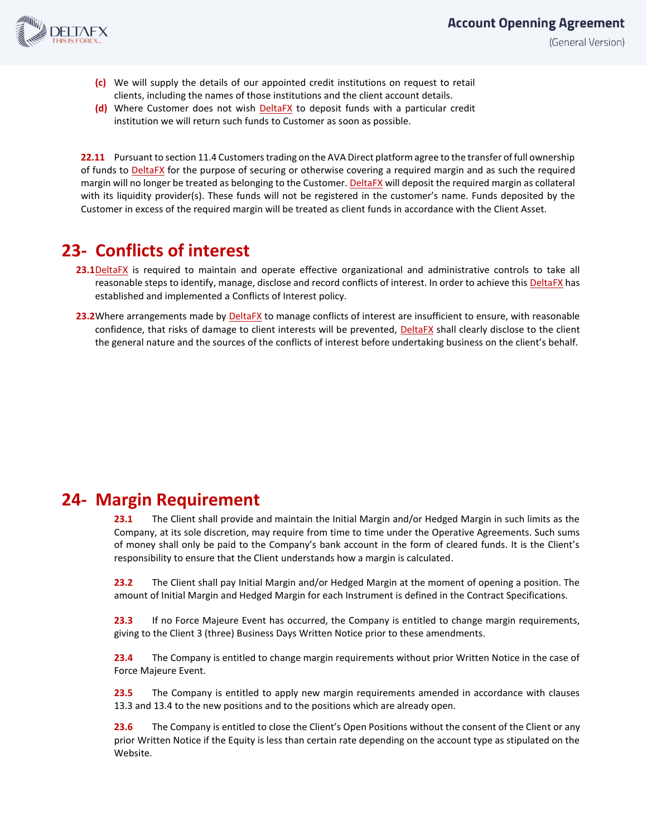

# **Account Openning Agreement**

(General Version)

- **(c)** We will supply the details of our appointed credit institutions on request to retail clients, including the names of those institutions and the client account details.
- **(d)** Where Customer does not wish DeltaFX to deposit funds with a particular credit institution we will return such funds to Customer as soon as possible.

**22.11** Pursuant to section 11.4 Customers trading on the AVA Direct platform agree to the transfer of full ownership of funds to **DeltaFX** for the purpose of securing or otherwise covering a required margin and as such the required margin will no longer be treated as belonging to the Customer. DeltaFX will deposit the required margin as collateral with its liquidity provider(s). These funds will not be registered in the customer's name. Funds deposited by the Customer in excess of the required margin will be treated as client funds in accordance with the Client Asset.

## **23- Conflicts of interest**

- **23.1**DeltaFX is required to maintain and operate effective organizational and administrative controls to take all reasonable steps to identify, manage, disclose and record conflicts of interest. In order to achieve this DeltaFX has established and implemented a Conflicts of Interest policy.
- **23.2**Where arrangements made by **DeltaFX** to manage conflicts of interest are insufficient to ensure, with reasonable confidence, that risks of damage to client interests will be prevented, **DeltaFX** shall clearly disclose to the client the general nature and the sources of the conflicts of interest before undertaking business on the client's behalf.

#### **24- Margin Requirement**

**23.1** The Client shall provide and maintain the Initial Margin and/or Hedged Margin in such limits as the Company, at its sole discretion, may require from time to time under the Operative Agreements. Such sums of money shall only be paid to the Company's bank account in the form of cleared funds. It is the Client's responsibility to ensure that the Client understands how a margin is calculated.

**23.2** The Client shall pay Initial Margin and/or Hedged Margin at the moment of opening a position. The amount of Initial Margin and Hedged Margin for each Instrument is defined in the Contract Specifications.

**23.3** If no Force Majeure Event has occurred, the Company is entitled to change margin requirements, giving to the Client 3 (three) Business Days Written Notice prior to these amendments.

**23.4** The Company is entitled to change margin requirements without prior Written Notice in the case of Force Majeure Event.

**23.5** The Company is entitled to apply new margin requirements amended in accordance with clauses 13.3 and 13.4 to the new positions and to the positions which are already open.

**23.6** The Company is entitled to close the Client's Open Positions without the consent of the Client or any prior Written Notice if the Equity is less than certain rate depending on the account type as stipulated on the Website.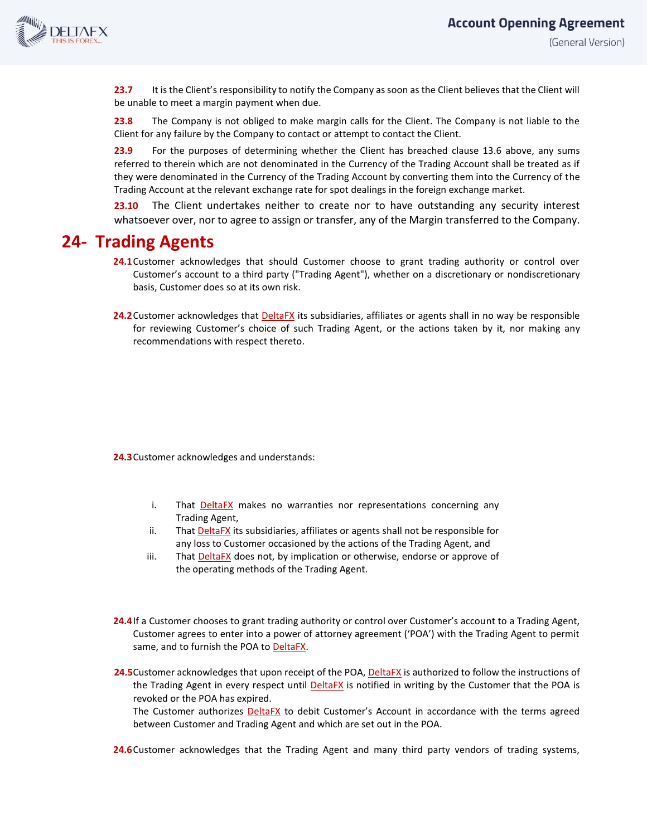

**23.7** It is the Client's responsibility to notify the Company as soon as the Client believes that the Client will be unable to meet a margin payment when due.

**23.8** The Company is not obliged to make margin calls for the Client. The Company is not liable to the Client for any failure by the Company to contact or attempt to contact the Client.

**23.9** For the purposes of determining whether the Client has breached clause 13.6 above, any sums referred to therein which are not denominated in the Currency of the Trading Account shall be treated as if they were denominated in the Currency of the Trading Account by converting them into the Currency of the Trading Account at the relevant exchange rate for spot dealings in the foreign exchange market.

**23.10** The Client undertakes neither to create nor to have outstanding any security interest whatsoever over, nor to agree to assign or transfer, any of the Margin transferred to the Company.

#### **24- Trading Agents**

- **24.1**Customer acknowledges that should Customer choose to grant trading authority or control over Customer's account to a third party ("Trading Agent"), whether on a discretionary or nondiscretionary basis, Customer does so at its own risk.
- 24.2 Customer acknowledges that **DeltaFX** its subsidiaries, affiliates or agents shall in no way be responsible for reviewing Customer's choice of such Trading Agent, or the actions taken by it, nor making any recommendations with respect thereto.

**24.3**Customer acknowledges and understands:

- i. That **DeltaFX** makes no warranties nor representations concerning any Trading Agent,
- ii. That DeltaFX its subsidiaries, affiliates or agents shall not be responsible for any loss to Customer occasioned by the actions of the Trading Agent, and
- iii. That DeltaFX does not, by implication or otherwise, endorse or approve of the operating methods of the Trading Agent.
- **24.4**If a Customer chooses to grant trading authority or control over Customer's account to a Trading Agent, Customer agrees to enter into a power of attorney agreement ('POA') with the Trading Agent to permit same, and to furnish the POA to DeltaFX.
- 24.5 Customer acknowledges that upon receipt of the POA, DeltaFX is authorized to follow the instructions of the Trading Agent in every respect until DeltaFX is notified in writing by the Customer that the POA is revoked or the POA has expired.

The Customer authorizes **DeltaFX** to debit Customer's Account in accordance with the terms agreed between Customer and Trading Agent and which are set out in the POA.

24.6 Customer acknowledges that the Trading Agent and many third party vendors of trading systems,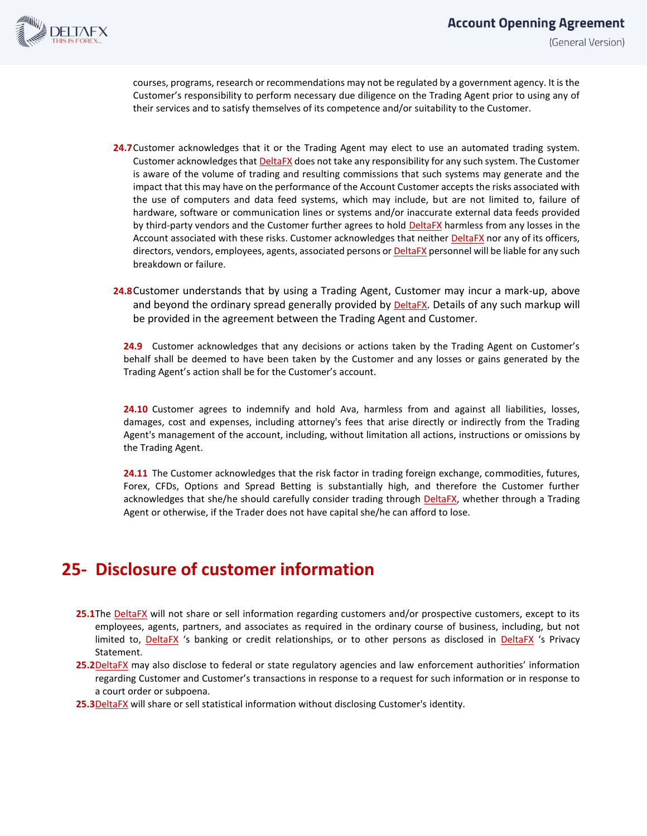

courses, programs, research or recommendations may not be regulated by a government agency. It is the Customer's responsibility to perform necessary due diligence on the Trading Agent prior to using any of their services and to satisfy themselves of its competence and/or suitability to the Customer.

- **24.7**Customer acknowledges that it or the Trading Agent may elect to use an automated trading system. Customer acknowledges that DeltaFX does not take any responsibility for any such system. The Customer is aware of the volume of trading and resulting commissions that such systems may generate and the impact that this may have on the performance of the Account Customer accepts the risks associated with the use of computers and data feed systems, which may include, but are not limited to, failure of hardware, software or communication lines or systems and/or inaccurate external data feeds provided by third-party vendors and the Customer further agrees to hold DeltaFX harmless from any losses in the Account associated with these risks. Customer acknowledges that neither DeltaFX nor any of its officers, directors, vendors, employees, agents, associated persons or DeltaFX personnel will be liable for any such breakdown or failure.
- **24.8**Customer understands that by using a Trading Agent, Customer may incur a mark-up, above and beyond the ordinary spread generally provided by **DeltaFX**. Details of any such markup will be provided in the agreement between the Trading Agent and Customer.

**24.9** Customer acknowledges that any decisions or actions taken by the Trading Agent on Customer's behalf shall be deemed to have been taken by the Customer and any losses or gains generated by the Trading Agent's action shall be for the Customer's account.

**24.10** Customer agrees to indemnify and hold Ava, harmless from and against all liabilities, losses, damages, cost and expenses, including attorney's fees that arise directly or indirectly from the Trading Agent's management of the account, including, without limitation all actions, instructions or omissions by the Trading Agent.

**24.11** The Customer acknowledges that the risk factor in trading foreign exchange, commodities, futures, Forex, CFDs, Options and Spread Betting is substantially high, and therefore the Customer further acknowledges that she/he should carefully consider trading through **DeltaFX**, whether through a Trading Agent or otherwise, if the Trader does not have capital she/he can afford to lose.

# **25- Disclosure of customer information**

- 25.1The DeltaFX will not share or sell information regarding customers and/or prospective customers, except to its employees, agents, partners, and associates as required in the ordinary course of business, including, but not limited to, DeltaFX 's banking or credit relationships, or to other persons as disclosed in DeltaFX 's Privacy Statement.
- **25.2**DeltaFX may also disclose to federal or state regulatory agencies and law enforcement authorities' information regarding Customer and Customer's transactions in response to a request for such information or in response to a court order or subpoena.
- **25.3**DeltaFX will share or sell statistical information without disclosing Customer's identity.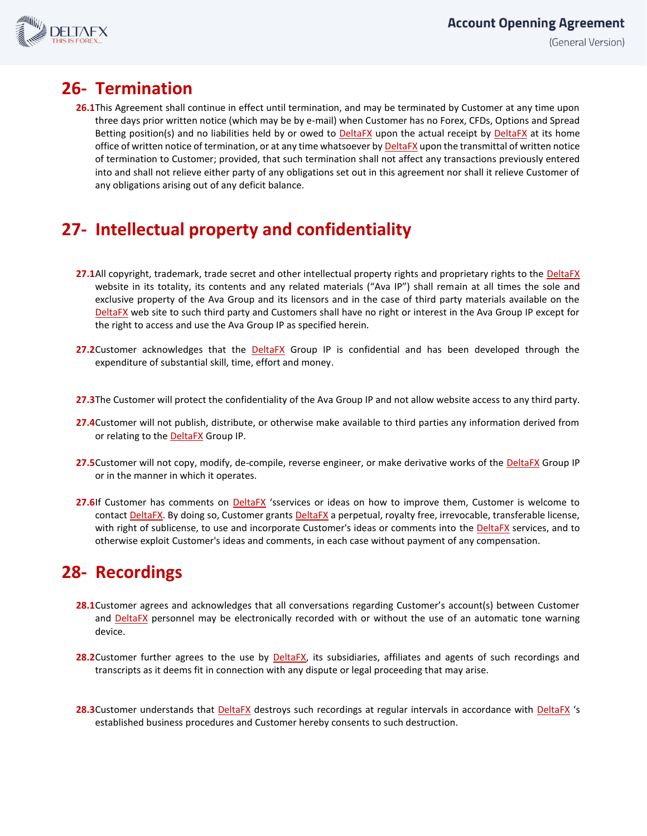

## **26- Termination**

**26.1**This Agreement shall continue in effect until termination, and may be terminated by Customer at any time upon three days prior written notice (which may be by e-mail) when Customer has no Forex, CFDs, Options and Spread Betting position(s) and no liabilities held by or owed to **DeltaFX** upon the actual receipt by **DeltaFX** at its home office of written notice of termination, or at any time whatsoever by DeltaFX upon the transmittal of written notice of termination to Customer; provided, that such termination shall not affect any transactions previously entered into and shall not relieve either party of any obligations set out in this agreement nor shall it relieve Customer of any obligations arising out of any deficit balance.

# **27- Intellectual property and confidentiality**

- 27.1All copyright, trademark, trade secret and other intellectual property rights and proprietary rights to the DeltaFX website in its totality, its contents and any related materials ("Ava IP") shall remain at all times the sole and exclusive property of the Ava Group and its licensors and in the case of third party materials available on the DeltaFX web site to such third party and Customers shall have no right or interest in the Ava Group IP except for the right to access and use the Ava Group IP as specified herein.
- 27.2Customer acknowledges that the **DeltaFX** Group IP is confidential and has been developed through the expenditure of substantial skill, time, effort and money.
- **27.3**The Customer will protect the confidentiality of the Ava Group IP and not allow website access to any third party.
- **27.4**Customer will not publish, distribute, or otherwise make available to third parties any information derived from or relating to the **DeltaFX** Group IP.
- 27.5Customer will not copy, modify, de-compile, reverse engineer, or make derivative works of the **DeltaFX** Group IP or in the manner in which it operates.
- **27.6**If Customer has comments on **DeltaFX** 'sservices or ideas on how to improve them, Customer is welcome to contact DeltaFX. By doing so, Customer grants DeltaFX a perpetual, royalty free, irrevocable, transferable license, with right of sublicense, to use and incorporate Customer's ideas or comments into the DeltaFX services, and to otherwise exploit Customer's ideas and comments, in each case without payment of any compensation.

# **28- Recordings**

- **28.1**Customer agrees and acknowledges that all conversations regarding Customer's account(s) between Customer and DeltaFX personnel may be electronically recorded with or without the use of an automatic tone warning device.
- **28.2**Customer further agrees to the use by DeltaFX, its subsidiaries, affiliates and agents of such recordings and transcripts as it deems fit in connection with any dispute or legal proceeding that may arise.
- **28.3**Customer understands that DeltaFX destroys such recordings at regular intervals in accordance with DeltaFX 's established business procedures and Customer hereby consents to such destruction.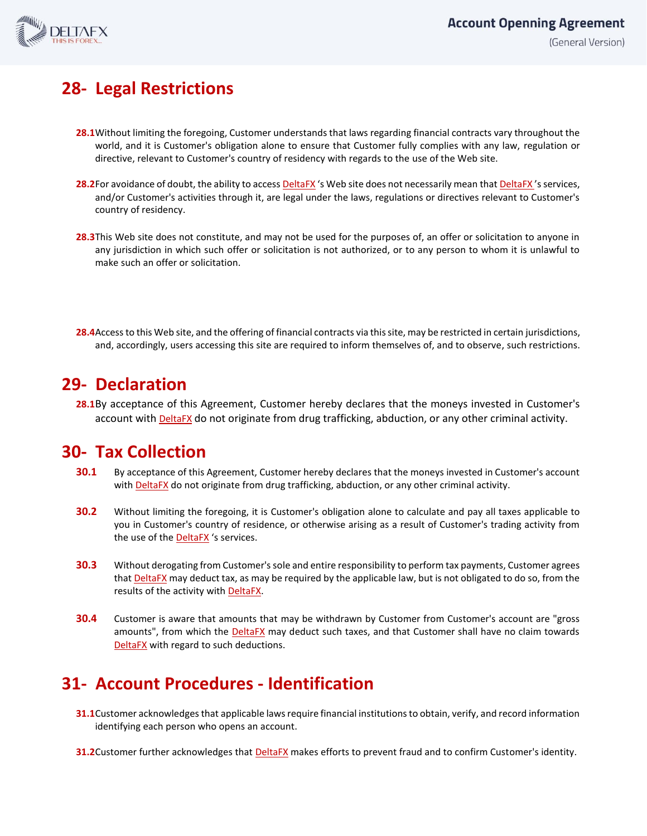

# **28- Legal Restrictions**

- **28.1**Without limiting the foregoing, Customer understands that laws regarding financial contracts vary throughout the world, and it is Customer's obligation alone to ensure that Customer fully complies with any law, regulation or directive, relevant to Customer's country of residency with regards to the use of the Web site.
- 28.2For avoidance of doubt, the ability to access DeltaFX's Web site does not necessarily mean that DeltaFX's services, and/or Customer's activities through it, are legal under the laws, regulations or directives relevant to Customer's country of residency.
- **28.3**This Web site does not constitute, and may not be used for the purposes of, an offer or solicitation to anyone in any jurisdiction in which such offer or solicitation is not authorized, or to any person to whom it is unlawful to make such an offer or solicitation.
- **28.4**Access to this Web site, and the offering of financial contracts via this site, may be restricted in certain jurisdictions, and, accordingly, users accessing this site are required to inform themselves of, and to observe, such restrictions.

### **29- Declaration**

**28.1**By acceptance of this Agreement, Customer hereby declares that the moneys invested in Customer's account with DeltaFX do not originate from drug trafficking, abduction, or any other criminal activity.

## **30- Tax Collection**

- **30.1** By acceptance of this Agreement, Customer hereby declares that the moneys invested in Customer's account with DeltaFX do not originate from drug trafficking, abduction, or any other criminal activity.
- **30.2** Without limiting the foregoing, it is Customer's obligation alone to calculate and pay all taxes applicable to you in Customer's country of residence, or otherwise arising as a result of Customer's trading activity from the use of the DeltaFX 's services.
- **30.3** Without derogating from Customer's sole and entire responsibility to perform tax payments, Customer agrees that **DeltaFX** may deduct tax, as may be required by the applicable law, but is not obligated to do so, from the results of the activity with DeltaFX.
- **30.4** Customer is aware that amounts that may be withdrawn by Customer from Customer's account are "gross amounts", from which the DeltaFX may deduct such taxes, and that Customer shall have no claim towards DeltaFX with regard to such deductions.

# **31- Account Procedures - Identification**

- **31.1**Customer acknowledges that applicable laws require financial institutions to obtain, verify, and record information identifying each person who opens an account.
- **31.2**Customer further acknowledges that **DeltaFX** makes efforts to prevent fraud and to confirm Customer's identity.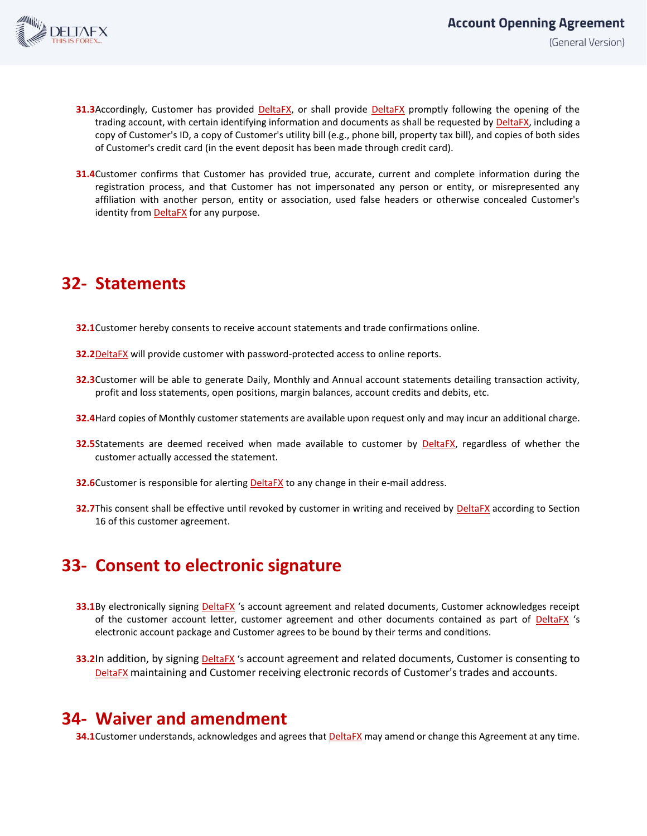

- **31.3**Accordingly, Customer has provided **DeltaFX**, or shall provide **DeltaFX** promptly following the opening of the trading account, with certain identifying information and documents as shall be requested by DeltaFX, including a copy of Customer's ID, a copy of Customer's utility bill (e.g., phone bill, property tax bill), and copies of both sides of Customer's credit card (in the event deposit has been made through credit card).
- **31.4**Customer confirms that Customer has provided true, accurate, current and complete information during the registration process, and that Customer has not impersonated any person or entity, or misrepresented any affiliation with another person, entity or association, used false headers or otherwise concealed Customer's identity from **DeltaFX** for any purpose.

# **32- Statements**

- **32.1**Customer hereby consents to receive account statements and trade confirmations online.
- **32.2**DeltaFX will provide customer with password-protected access to online reports.
- **32.3**Customer will be able to generate Daily, Monthly and Annual account statements detailing transaction activity, profit and loss statements, open positions, margin balances, account credits and debits, etc.
- **32.4**Hard copies of Monthly customer statements are available upon request only and may incur an additional charge.
- **32.5**Statements are deemed received when made available to customer by **DeltaFX**, regardless of whether the customer actually accessed the statement.
- **32.6**Customer is responsible for alerting **DeltaFX** to any change in their e-mail address.
- **32.7**This consent shall be effective until revoked by customer in writing and received by **DeltaFX** according to Section 16 of this customer agreement.

### **33- Consent to electronic signature**

- **33.1**By electronically signing **DeltaFX** 's account agreement and related documents, Customer acknowledges receipt of the customer account letter, customer agreement and other documents contained as part of DeltaFX 's electronic account package and Customer agrees to be bound by their terms and conditions.
- **33.2**In addition, by signing **DeltaFX** 's account agreement and related documents, Customer is consenting to DeltaFX maintaining and Customer receiving electronic records of Customer's trades and accounts.

### **34- Waiver and amendment**

**34.1**Customer understands, acknowledges and agrees that **DeltaFX** may amend or change this Agreement at any time.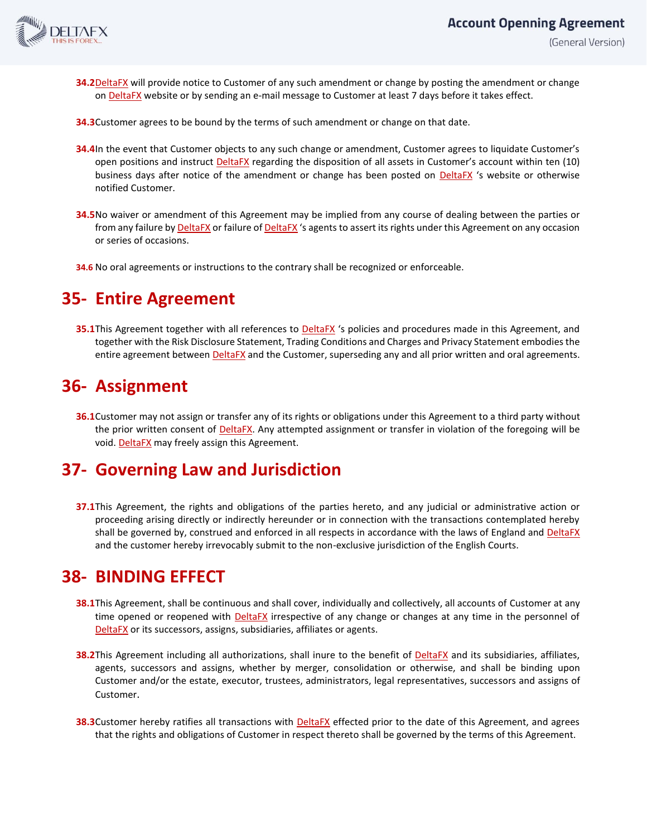

- **34.2**DeltaFX will provide notice to Customer of any such amendment or change by posting the amendment or change on DeltaFX website or by sending an e-mail message to Customer at least 7 days before it takes effect.
- **34.3**Customer agrees to be bound by the terms of such amendment or change on that date.
- **34.4**In the event that Customer objects to any such change or amendment, Customer agrees to liquidate Customer's open positions and instruct **DeltaFX** regarding the disposition of all assets in Customer's account within ten (10) business days after notice of the amendment or change has been posted on **DeltaFX** 's website or otherwise notified Customer.
- **34.5**No waiver or amendment of this Agreement may be implied from any course of dealing between the parties or from any failure by DeltaFX or failure of DeltaFX 's agents to assert its rights under this Agreement on any occasion or series of occasions.
- **34.6** No oral agreements or instructions to the contrary shall be recognized or enforceable.

## **35- Entire Agreement**

**35.1**This Agreement together with all references to **DeltaFX** 's policies and procedures made in this Agreement, and together with the Risk Disclosure Statement, Trading Conditions and Charges and Privacy Statement embodies the entire agreement between DeltaFX and the Customer, superseding any and all prior written and oral agreements.

## **36- Assignment**

**36.1**Customer may not assign or transfer any of its rights or obligations under this Agreement to a third party without the prior written consent of DeltaFX. Any attempted assignment or transfer in violation of the foregoing will be void. DeltaFX may freely assign this Agreement.

## **37- Governing Law and Jurisdiction**

**37.1**This Agreement, the rights and obligations of the parties hereto, and any judicial or administrative action or proceeding arising directly or indirectly hereunder or in connection with the transactions contemplated hereby shall be governed by, construed and enforced in all respects in accordance with the laws of England and DeltaFX and the customer hereby irrevocably submit to the non-exclusive jurisdiction of the English Courts.

### **38- BINDING EFFECT**

- **38.1**This Agreement, shall be continuous and shall cover, individually and collectively, all accounts of Customer at any time opened or reopened with **DeltaFX** irrespective of any change or changes at any time in the personnel of DeltaFX or its successors, assigns, subsidiaries, affiliates or agents.
- **38.2**This Agreement including all authorizations, shall inure to the benefit of **DeltaFX** and its subsidiaries, affiliates, agents, successors and assigns, whether by merger, consolidation or otherwise, and shall be binding upon Customer and/or the estate, executor, trustees, administrators, legal representatives, successors and assigns of Customer.
- **38.3**Customer hereby ratifies all transactions with DeltaFX effected prior to the date of this Agreement, and agrees that the rights and obligations of Customer in respect thereto shall be governed by the terms of this Agreement.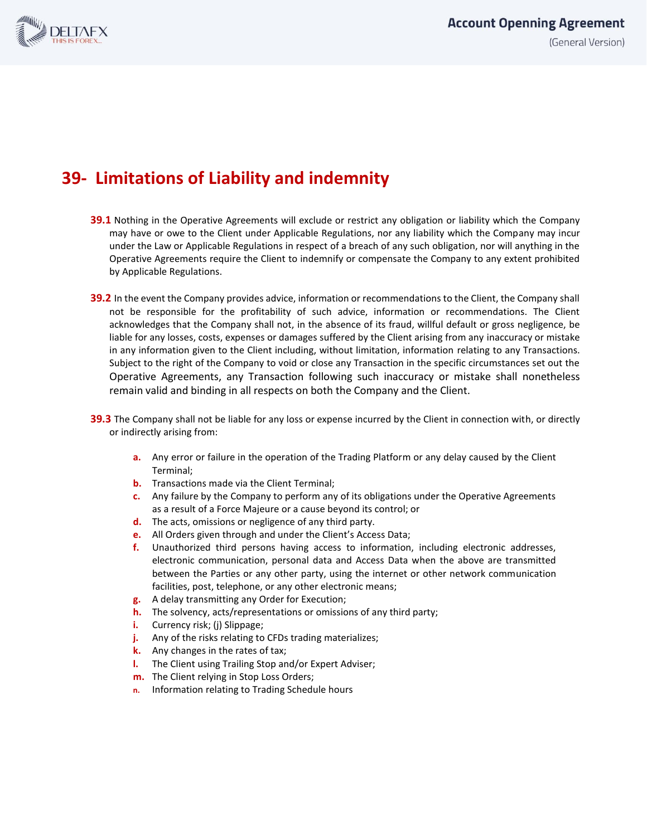

# **39- Limitations of Liability and indemnity**

- **39.1** Nothing in the Operative Agreements will exclude or restrict any obligation or liability which the Company may have or owe to the Client under Applicable Regulations, nor any liability which the Company may incur under the Law or Applicable Regulations in respect of a breach of any such obligation, nor will anything in the Operative Agreements require the Client to indemnify or compensate the Company to any extent prohibited by Applicable Regulations.
- **39.2** In the event the Company provides advice, information or recommendations to the Client, the Company shall not be responsible for the profitability of such advice, information or recommendations. The Client acknowledges that the Company shall not, in the absence of its fraud, willful default or gross negligence, be liable for any losses, costs, expenses or damages suffered by the Client arising from any inaccuracy or mistake in any information given to the Client including, without limitation, information relating to any Transactions. Subject to the right of the Company to void or close any Transaction in the specific circumstances set out the Operative Agreements, any Transaction following such inaccuracy or mistake shall nonetheless remain valid and binding in all respects on both the Company and the Client.
- **39.3** The Company shall not be liable for any loss or expense incurred by the Client in connection with, or directly or indirectly arising from:
	- **a.** Any error or failure in the operation of the Trading Platform or any delay caused by the Client Terminal;
	- **b.** Transactions made via the Client Terminal;
	- **c.** Any failure by the Company to perform any of its obligations under the Operative Agreements as a result of a Force Majeure or a cause beyond its control; or
	- **d.** The acts, omissions or negligence of any third party.
	- **e.** All Orders given through and under the Client's Access Data;
	- **f.** Unauthorized third persons having access to information, including electronic addresses, electronic communication, personal data and Access Data when the above are transmitted between the Parties or any other party, using the internet or other network communication facilities, post, telephone, or any other electronic means;
	- **g.** A delay transmitting any Order for Execution;
	- **h.** The solvency, acts/representations or omissions of any third party;
	- **i.** Currency risk; (j) Slippage;
	- **j.** Any of the risks relating to CFDs trading materializes;
	- **k.** Any changes in the rates of tax;
	- **l.** The Client using Trailing Stop and/or Expert Adviser;
	- **m.** The Client relying in Stop Loss Orders;
	- **n.** Information relating to Trading Schedule hours